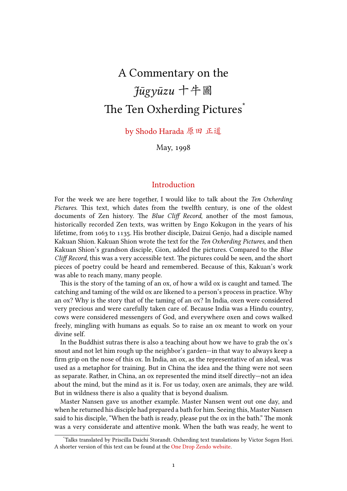# A Commentary on the *Jūgyūzu* 十牛圖 The Ten Oxherding Pictures<sup>\*</sup>

by Shodo Harada 原田 正道

May, 1998

#### Introduction

For the week we are here together, I would like to talk about the *Ten Oxherding Pictures*. This text, which dates from the twelfth century, is one of the oldest documents of Zen history. The *Blue Cliff Record*, another of the most famous, historically recorded Zen texts, was written by Engo Kokugon in the years of his lifetime, from 1063 to 1135. His brother disciple, Daizui Genjo, had a disciple named Kakuan Shion. Kakuan Shion wrote the text for the *Ten Oxherding Pictures*, and then Kakuan Shion's grandson disciple, Gion, added the pictures. Compared to the *Blue Cliff Record*, this was a very accessible text. The pictures could be seen, and the short pieces of poetry could be heard and remembered. Because of this, Kakuan's work was able to reach many, many people.

This is the story of the taming of an ox, of how a wild ox is caught and tamed. The catching and taming of the wild ox are likened to a person's process in practice. Why an ox? Why is the story that of the taming of an ox? In India, oxen were considered very precious and were carefully taken care of. Because India was a Hindu country, cows were considered messengers of God, and everywhere oxen and cows walked freely, mingling with humans as equals. So to raise an ox meant to work on your divine self.

In the Buddhist sutras there is also a teaching about how we have to grab the ox's snout and not let him rough up the neighbor's garden—in that way to always keep a firm grip on the nose of this ox. In India, an ox, as the representative of an ideal, was used as a metaphor for training. But in China the idea and the thing were not seen as separate. Rather, in China, an ox represented the mind itself directly—not an idea about the mind, but the mind as it is. For us today, oxen are animals, they are wild. But in wildness there is also a quality that is beyond dualism.

Master Nansen gave us another example. Master Nansen went out one day, and when he returned his disciple had prepared a bath for him. Seeing this, Master Nansen said to his disciple, "When the bath is ready, please put the ox in the bath." The monk was a very considerate and attentive monk. When the bath was ready, he went to

<sup>\*</sup>Talks translated by Priscilla Daichi Storandt. Oxherding text translations by Victor Sogen Hori. A shorter version of this text can be found at the One Drop Zendo website.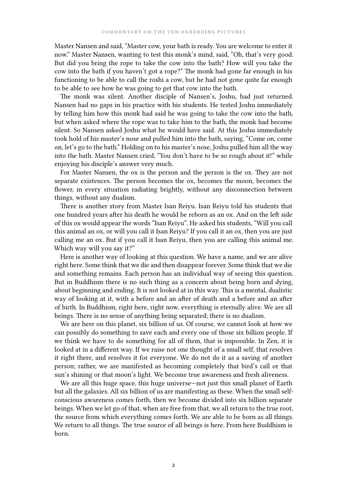Master Nansen and said, "Master cow, your bath is ready. You are welcome to enter it now." Master Nansen, wanting to test this monk's mind, said, "Oh, that's very good. But did you bring the rope to take the cow into the bath? How will you take the cow into the bath if you haven't got a rope?" The monk had gone far enough in his functioning to be able to call the roshi a cow, but he had not gone quite far enough to be able to see how he was going to get that cow into the bath.

The monk was silent. Another disciple of Nansen's, Joshu, had just returned. Nansen had no gaps in his practice with his students. He tested Joshu immediately by telling him how this monk had said he was going to take the cow into the bath, but when asked where the rope was to take him to the bath, the monk had become silent. So Nansen asked Joshu what he would have said. At this Joshu immediately took hold of his master's nose and pulled him into the bath, saying, "Come on, come on, let's go to the bath." Holding on to his master's nose, Joshu pulled him all the way into the bath. Master Nansen cried, "You don't have to be so rough about it!" while enjoying his disciple's answer very much.

For Master Nansen, the ox is the person and the person is the ox. They are not separate existences. The person becomes the ox, becomes the moon, becomes the flower, in every situation radiating brightly, without any disconnection between things, without any dualism.

There is another story from Master Isan Reiyu. Isan Reiyu told his students that one hundred years after his death he would be reborn as an ox. And on the left side of this ox would appear the words "Isan Reiyu". He asked his students, "Will you call this animal an ox, or will you call it Isan Reiyu? If you call it an ox, then you are just calling me an ox. But if you call it Isan Reiyu, then you are calling this animal me. Which way will you say it?"

Here is another way of looking at this question. We have a name, and we are alive right here. Some think that we die and then disappear forever. Some think that we die and something remains. Each person has an individual way of seeing this question. But in Buddhism there is no such thing as a concern about being born and dying, about beginning and ending. It is not looked at in this way. This is a mental, dualistic way of looking at it, with a before and an after of death and a before and an after of birth. In Buddhism, right here, right now, everything is eternally alive. We are all beings. There is no sense of anything being separated; there is no dualism.

We are here on this planet, six billion of us. Of course, we cannot look at how we can possibly do something to save each and every one of those six billion people. If we think we have to do something for all of them, that is impossible. In Zen, it is looked at in a different way. If we raise not one thought of a small self, that resolves it right there, and resolves it for everyone. We do not do it as a saving of another person; rather, we are manifested as becoming completely that bird's call or that sun's shining or that moon's light. We become true awareness and fresh aliveness.

We are all this huge space, this huge universe—not just this small planet of Earth but all the galaxies. All six billion of us are manifesting as these. When the small selfconscious awareness comes forth, then we become divided into six billion separate beings. When we let go of that, when are free from that, we all return to the true root, the source from which everything comes forth. We are able to be born as all things. We return to all things. The true source of all beings is here. From here Buddhism is born.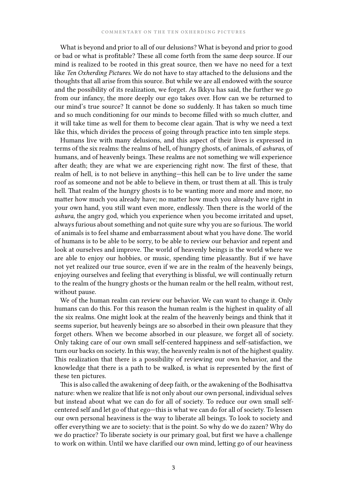What is beyond and prior to all of our delusions? What is beyond and prior to good or bad or what is profitable? These all come forth from the same deep source. If our mind is realized to be rooted in this great source, then we have no need for a text like *Ten Oxherding Pictures*. We do not have to stay attached to the delusions and the thoughts that all arise from this source. But while we are all endowed with the source and the possibility of its realization, we forget. As Ikkyu has said, the further we go from our infancy, the more deeply our ego takes over. How can we be returned to our mind's true source? It cannot be done so suddenly. It has taken so much time and so much conditioning for our minds to become filled with so much clutter, and it will take time as well for them to become clear again. That is why we need a text like this, which divides the process of going through practice into ten simple steps.

Humans live with many delusions, and this aspect of their lives is expressed in terms of the six realms: the realms of hell, of hungry ghosts, of animals, of *ashuras*, of humans, and of heavenly beings. These realms are not something we will experience after death; they are what we are experiencing right now. The first of these, that realm of hell, is to not believe in anything—this hell can be to live under the same roof as someone and not be able to believe in them, or trust them at all. This is truly hell. That realm of the hungry ghosts is to be wanting more and more and more, no matter how much you already have; no matter how much you already have right in your own hand, you still want even more, endlessly. Then there is the world of the *ashura*, the angry god, which you experience when you become irritated and upset, always furious about something and not quite sure why you are so furious. The world of animals is to feel shame and embarrassment about what you have done. The world of humans is to be able to be sorry, to be able to review our behavior and repent and look at ourselves and improve. The world of heavenly beings is the world where we are able to enjoy our hobbies, or music, spending time pleasantly. But if we have not yet realized our true source, even if we are in the realm of the heavenly beings, enjoying ourselves and feeling that everything is blissful, we will continually return to the realm of the hungry ghosts or the human realm or the hell realm, without rest, without pause.

We of the human realm can review our behavior. We can want to change it. Only humans can do this. For this reason the human realm is the highest in quality of all the six realms. One might look at the realm of the heavenly beings and think that it seems superior, but heavenly beings are so absorbed in their own pleasure that they forget others. When we become absorbed in our pleasure, we forget all of society. Only taking care of our own small self-centered happiness and self-satisfaction, we turn our backs on society. In this way, the heavenly realm is not of the highest quality. This realization that there is a possibility of reviewing our own behavior, and the knowledge that there is a path to be walked, is what is represented by the first of these ten pictures.

This is also called the awakening of deep faith, or the awakening of the Bodhisattva nature: when we realize that life is not only about our own personal, individual selves but instead about what we can do for all of society. To reduce our own small selfcentered self and let go of that ego—this is what we can do for all of society. To lessen our own personal heaviness is the way to liberate all beings. To look to society and offer everything we are to society: that is the point. So why do we do zazen? Why do we do practice? To liberate society is our primary goal, but first we have a challenge to work on within. Until we have clarified our own mind, letting go of our heaviness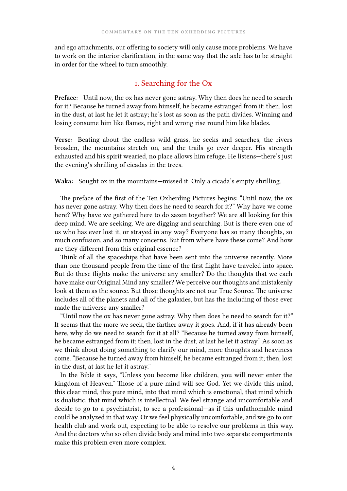and ego attachments, our offering to society will only cause more problems. We have to work on the interior clarification, in the same way that the axle has to be straight in order for the wheel to turn smoothly.

## i. Searching for the Ox

**Preface:** Until now, the ox has never gone astray. Why then does he need to search for it? Because he turned away from himself, he became estranged from it; then, lost in the dust, at last he let it astray; he's lost as soon as the path divides. Winning and losing consume him like flames, right and wrong rise round him like blades.

**Verse:** Beating about the endless wild grass, he seeks and searches, the rivers broaden, the mountains stretch on, and the trails go ever deeper. His strength exhausted and his spirit wearied, no place allows him refuge. He listens—there's just the evening's shrilling of cicadas in the trees.

**Waka:** Sought ox in the mountains—missed it. Only a cicada's empty shrilling.

The preface of the first of the Ten Oxherding Pictures begins: "Until now, the ox has never gone astray. Why then does he need to search for it?" Why have we come here? Why have we gathered here to do zazen together? We are all looking for this deep mind. We are seeking. We are digging and searching. But is there even one of us who has ever lost it, or strayed in any way? Everyone has so many thoughts, so much confusion, and so many concerns. But from where have these come? And how are they different from this original essence?

Think of all the spaceships that have been sent into the universe recently. More than one thousand people from the time of the first flight have traveled into space. But do these flights make the universe any smaller? Do the thoughts that we each have make our Original Mind any smaller? We perceive our thoughts and mistakenly look at them as the source. But those thoughts are not our True Source. The universe includes all of the planets and all of the galaxies, but has the including of those ever made the universe any smaller?

"Until now the ox has never gone astray. Why then does he need to search for it?" It seems that the more we seek, the farther away it goes. And, if it has already been here, why do we need to search for it at all? "Because he turned away from himself, he became estranged from it; then, lost in the dust, at last he let it astray." As soon as we think about doing something to clarify our mind, more thoughts and heaviness come. "Because he turned away from himself, he became estranged from it; then, lost in the dust, at last he let it astray."

In the Bible it says, "Unless you become like children, you will never enter the kingdom of Heaven." Those of a pure mind will see God. Yet we divide this mind, this clear mind, this pure mind, into that mind which is emotional, that mind which is dualistic, that mind which is intellectual. We feel strange and uncomfortable and decide to go to a psychiatrist, to see a professional—as if this unfathomable mind could be analyzed in that way. Or we feel physically uncomfortable, and we go to our health club and work out, expecting to be able to resolve our problems in this way. And the doctors who so often divide body and mind into two separate compartments make this problem even more complex.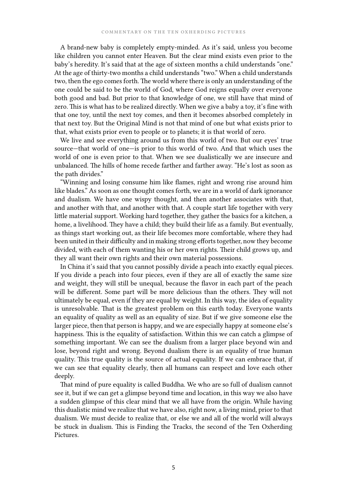A brand-new baby is completely empty-minded. As it's said, unless you become like children you cannot enter Heaven. But the clear mind exists even prior to the baby's heredity. It's said that at the age of sixteen months a child understands "one." At the age of thirty-two months a child understands "two." When a child understands two, then the ego comes forth. The world where there is only an understanding of the one could be said to be the world of God, where God reigns equally over everyone both good and bad. But prior to that knowledge of one, we still have that mind of zero. This is what has to be realized directly. When we give a baby a toy, it's fine with that one toy, until the next toy comes, and then it becomes absorbed completely in that next toy. But the Original Mind is not that mind of one but what exists prior to that, what exists prior even to people or to planets; it is that world of zero.

We live and see everything around us from this world of two. But our eyes' true source—that world of one—is prior to this world of two. And that which uses the world of one is even prior to that. When we see dualistically we are insecure and unbalanced. The hills of home recede farther and farther away. "He's lost as soon as the path divides."

"Winning and losing consume him like flames, right and wrong rise around him like blades." As soon as one thought comes forth, we are in a world of dark ignorance and dualism. We have one wispy thought, and then another associates with that, and another with that, and another with that. A couple start life together with very little material support. Working hard together, they gather the basics for a kitchen, a home, a livelihood. They have a child; they build their life as a family. But eventually, as things start working out, as their life becomes more comfortable, where they had been united in their difficulty and in making strong efforts together, now they become divided, with each of them wanting his or her own rights. Their child grows up, and they all want their own rights and their own material possessions.

In China it's said that you cannot possibly divide a peach into exactly equal pieces. If you divide a peach into four pieces, even if they are all of exactly the same size and weight, they will still be unequal, because the flavor in each part of the peach will be different. Some part will be more delicious than the others. They will not ultimately be equal, even if they are equal by weight. In this way, the idea of equality is unresolvable. That is the greatest problem on this earth today. Everyone wants an equality of quality as well as an equality of size. But if we give someone else the larger piece, then that person is happy, and we are especially happy at someone else's happiness. This is the equality of satisfaction. Within this we can catch a glimpse of something important. We can see the dualism from a larger place beyond win and lose, beyond right and wrong. Beyond dualism there is an equality of true human quality. This true quality is the source of actual equality. If we can embrace that, if we can see that equality clearly, then all humans can respect and love each other deeply.

That mind of pure equality is called Buddha. We who are so full of dualism cannot see it, but if we can get a glimpse beyond time and location, in this way we also have a sudden glimpse of this clear mind that we all have from the origin. While having this dualistic mind we realize that we have also, right now, a living mind, prior to that dualism. We must decide to realize that, or else we and all of the world will always be stuck in dualism. This is Finding the Tracks, the second of the Ten Oxherding Pictures.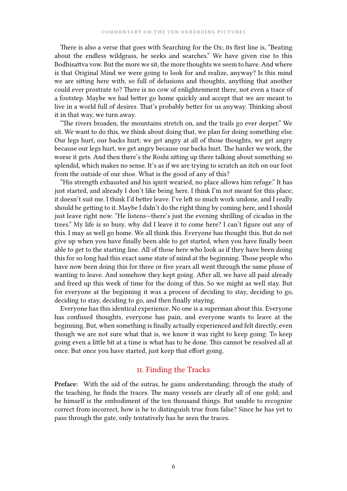There is also a verse that goes with Searching for the Ox; its first line is, "Beating about the endless wildgrass, he seeks and searches." We have given rise to this Bodhisattva vow. But the more we sit, the more thoughts we seem to have. And where is that Original Mind we were going to look for and realize, anyway? Is this mind we are sitting here with, so full of delusions and thoughts, anything that another could ever prostrate to? There is no cow of enlightenment there, not even a trace of a footstep. Maybe we had better go home quickly and accept that we are meant to live in a world full of desires. That's probably better for us anyway. Thinking about it in that way, we turn away.

"The rivers broaden, the mountains stretch on, and the trails go ever deeper." We sit. We want to do this, we think about doing that, we plan for doing something else. Our legs hurt, our backs hurt; we get angry at all of those thoughts, we get angry because our legs hurt, we get angry because our backs hurt. The harder we work, the worse it gets. And then there's the Roshi sitting up there talking about something so splendid, which makes no sense. It's as if we are trying to scratch an itch on our foot from the outside of our shoe. What is the good of any of this?

"His strength exhausted and his spirit wearied, no place allows him refuge." It has just started, and already I don't like being here. I think I'm not meant for this place; it doesn't suit me. I think I'd better leave. I've left so much work undone, and I really should be getting to it. Maybe I didn't do the right thing by coming here, and I should just leave right now. "He listens—there's just the evening shrilling of cicadas in the trees." My life is so busy, why did I leave it to come here? I can't figure out any of this. I may as well go home. We all think this. Everyone has thought this. But do not give up when you have finally been able to get started, when you have finally been able to get to the starting line. All of those here who look as if they have been doing this for so long had this exact same state of mind at the beginning. Those people who have now been doing this for three or five years all went through the same phase of wanting to leave. And somehow they kept going. After all, we have all paid already and freed up this week of time for the doing of this. So we might as well stay. But for everyone at the beginning it was a process of deciding to stay, deciding to go, deciding to stay, deciding to go, and then finally staying.

Everyone has this identical experience. No one is a superman about this. Everyone has confused thoughts, everyone has pain, and everyone wants to leave at the beginning. But, when something is finally actually experienced and felt directly, even though we are not sure what that is, we know it was right to keep going. To keep going even a little bit at a time is what has to be done. This cannot be resolved all at once. But once you have started, just keep that effort going.

#### ii. Finding the Tracks

**Preface:** With the aid of the sutras, he gains understanding; through the study of the teaching, he finds the traces. The many vessels are clearly all of one gold; and he himself is the embodiment of the ten thousand things. But unable to recognize correct from incorrect, how is he to distinguish true from false? Since he has yet to pass through the gate, only tentatively has he seen the traces.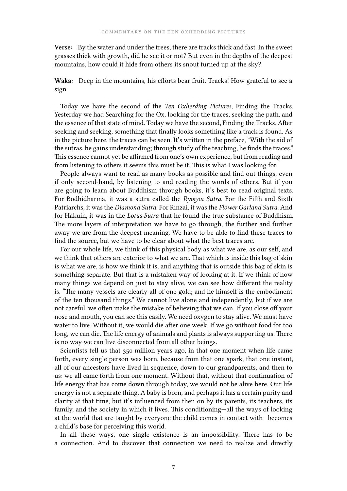**Verse:** By the water and under the trees, there are tracks thick and fast. In the sweet grasses thick with growth, did he see it or not? But even in the depths of the deepest mountains, how could it hide from others its snout turned up at the sky?

**Waka:** Deep in the mountains, his efforts bear fruit. Tracks! How grateful to see a sign.

Today we have the second of the *Ten Oxherding Pictures*, Finding the Tracks. Yesterday we had Searching for the Ox, looking for the traces, seeking the path, and the essence of that state of mind. Today we have the second, Finding the Tracks. After seeking and seeking, something that finally looks something like a track is found. As in the picture here, the traces can be seen. It's written in the preface, "With the aid of the sutras, he gains understanding; through study of the teaching, he finds the traces." This essence cannot yet be affirmed from one's own experience, but from reading and from listening to others it seems this must be it. This is what I was looking for.

People always want to read as many books as possible and find out things, even if only second-hand, by listening to and reading the words of others. But if you are going to learn about Buddhism through books, it's best to read original texts. For Bodhidharma, it was a sutra called the *Ryogon Sutra*. For the Fifth and Sixth Patriarchs, it was the *Diamond Sutra*. For Rinzai, it was the *Flower Garland Sutra*. And for Hakuin, it was in the *Lotus Sutra* that he found the true substance of Buddhism. The more layers of interpretation we have to go through, the further and further away we are from the deepest meaning. We have to be able to find these traces to find the source, but we have to be clear about what the best traces are.

For our whole life, we think of this physical body as what we are, as our self, and we think that others are exterior to what we are. That which is inside this bag of skin is what we are, is how we think it is, and anything that is outside this bag of skin is something separate. But that is a mistaken way of looking at it. If we think of how many things we depend on just to stay alive, we can see how different the reality is. "The many vessels are clearly all of one gold; and he himself is the embodiment of the ten thousand things." We cannot live alone and independently, but if we are not careful, we often make the mistake of believing that we can. If you close off your nose and mouth, you can see this easily. We need oxygen to stay alive. We must have water to live. Without it, we would die after one week. If we go without food for too long, we can die. The life energy of animals and plants is always supporting us. There is no way we can live disconnected from all other beings.

Scientists tell us that 350 million years ago, in that one moment when life came forth, every single person was born, because from that one spark, that one instant, all of our ancestors have lived in sequence, down to our grandparents, and then to us: we all came forth from one moment. Without that, without that continuation of life energy that has come down through today, we would not be alive here. Our life energy is not a separate thing. A baby is born, and perhaps it has a certain purity and clarity at that time, but it's influenced from then on by its parents, its teachers, its family, and the society in which it lives. This conditioning—all the ways of looking at the world that are taught by everyone the child comes in contact with—becomes a child's base for perceiving this world.

In all these ways, one single existence is an impossibility. There has to be a connection. And to discover that connection we need to realize and directly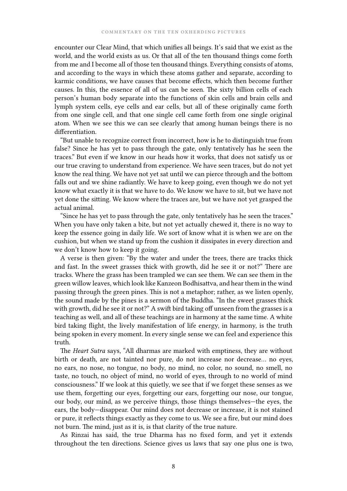encounter our Clear Mind, that which unifies all beings. It's said that we exist as the world, and the world exists as us. Or that all of the ten thousand things come forth from me and I become all of those ten thousand things. Everything consists of atoms, and according to the ways in which these atoms gather and separate, according to karmic conditions, we have causes that become effects, which then become further causes. In this, the essence of all of us can be seen. The sixty billion cells of each person's human body separate into the functions of skin cells and brain cells and lymph system cells, eye cells and ear cells, but all of these originally came forth from one single cell, and that one single cell came forth from one single original atom. When we see this we can see clearly that among human beings there is no differentiation.

"But unable to recognize correct from incorrect, how is he to distinguish true from false? Since he has yet to pass through the gate, only tentatively has he seen the traces." But even if we know in our heads how it works, that does not satisfy us or our true craving to understand from experience. We have seen traces, but do not yet know the real thing. We have not yet sat until we can pierce through and the bottom falls out and we shine radiantly. We have to keep going, even though we do not yet know what exactly it is that we have to do. We know we have to sit, but we have not yet done the sitting. We know where the traces are, but we have not yet grasped the actual animal.

"Since he has yet to pass through the gate, only tentatively has he seen the traces." When you have only taken a bite, but not yet actually chewed it, there is no way to keep the essence going in daily life. We sort of know what it is when we are on the cushion, but when we stand up from the cushion it dissipates in every direction and we don't know how to keep it going.

A verse is then given: "By the water and under the trees, there are tracks thick and fast. In the sweet grasses thick with growth, did he see it or not?" There are tracks. Where the grass has been trampled we can see them. We can see them in the green willow leaves, which look like Kanzeon Bodhisattva, and hear them in the wind passing through the green pines. This is not a metaphor; rather, as we listen openly, the sound made by the pines is a sermon of the Buddha. "In the sweet grasses thick with growth, did he see it or not?" A swift bird taking off unseen from the grasses is a teaching as well, and all of these teachings are in harmony at the same time. A white bird taking flight, the lively manifestation of life energy, in harmony, is the truth being spoken in every moment. In every single sense we can feel and experience this truth.

The *Heart Sutra* says, "All dharmas are marked with emptiness, they are without birth or death, are not tainted nor pure, do not increase nor decrease… no eyes, no ears, no nose, no tongue, no body, no mind, no color, no sound, no smell, no taste, no touch, no object of mind, no world of eyes, through to no world of mind consciousness." If we look at this quietly, we see that if we forget these senses as we use them, forgetting our eyes, forgetting our ears, forgetting our nose, our tongue, our body, our mind, as we perceive things, those things themselves—the eyes, the ears, the body—disappear. Our mind does not decrease or increase, it is not stained or pure, it reflects things exactly as they come to us. We see a fire, but our mind does not burn. The mind, just as it is, is that clarity of the true nature.

As Rinzai has said, the true Dharma has no fixed form, and yet it extends throughout the ten directions. Science gives us laws that say one plus one is two,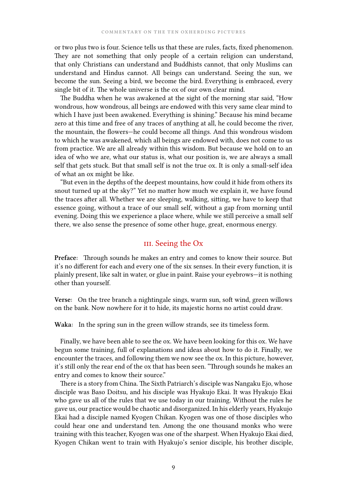or two plus two is four. Science tells us that these are rules, facts, fixed phenomenon. They are not something that only people of a certain religion can understand, that only Christians can understand and Buddhists cannot, that only Muslims can understand and Hindus cannot. All beings can understand. Seeing the sun, we become the sun. Seeing a bird, we become the bird. Everything is embraced, every single bit of it. The whole universe is the ox of our own clear mind.

The Buddha when he was awakened at the sight of the morning star said, "How wondrous, how wondrous, all beings are endowed with this very same clear mind to which I have just been awakened. Everything is shining." Because his mind became zero at this time and free of any traces of anything at all, he could become the river, the mountain, the flowers—he could become all things. And this wondrous wisdom to which he was awakened, which all beings are endowed with, does not come to us from practice. We are all already within this wisdom. But because we hold on to an idea of who we are, what our status is, what our position is, we are always a small self that gets stuck. But that small self is not the true ox. It is only a small-self idea of what an ox might be like.

"But even in the depths of the deepest mountains, how could it hide from others its snout turned up at the sky?" Yet no matter how much we explain it, we have found the traces after all. Whether we are sleeping, walking, sitting, we have to keep that essence going, without a trace of our small self, without a gap from morning until evening. Doing this we experience a place where, while we still perceive a small self there, we also sense the presence of some other huge, great, enormous energy.

## III. Seeing the Ox

**Preface:** Through sounds he makes an entry and comes to know their source. But it's no different for each and every one of the six senses. In their every function, it is plainly present, like salt in water, or glue in paint. Raise your eyebrows—it is nothing other than yourself.

**Verse:** On the tree branch a nightingale sings, warm sun, soft wind, green willows on the bank. Now nowhere for it to hide, its majestic horns no artist could draw.

**Waka:** In the spring sun in the green willow strands, see its timeless form.

Finally, we have been able to see the ox. We have been looking for this ox. We have begun some training, full of explanations and ideas about how to do it. Finally, we encounter the traces, and following them we now see the ox. In this picture, however, it's still only the rear end of the ox that has been seen. "Through sounds he makes an entry and comes to know their source."

There is a story from China. The Sixth Patriarch's disciple was Nangaku Ejo, whose disciple was Baso Doitsu, and his disciple was Hyakujo Ekai. It was Hyakujo Ekai who gave us all of the rules that we use today in our training. Without the rules he gave us, our practice would be chaotic and disorganized. In his elderly years, Hyakujo Ekai had a disciple named Kyogen Chikan. Kyogen was one of those disciples who could hear one and understand ten. Among the one thousand monks who were training with this teacher, Kyogen was one of the sharpest. When Hyakujo Ekai died, Kyogen Chikan went to train with Hyakujo's senior disciple, his brother disciple,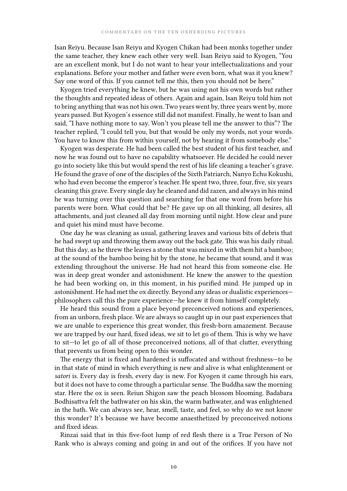Isan Reiyu. Because Isan Reiyu and Kyogen Chikan had been monks together under the same teacher, they knew each other very well. Isan Reiyu said to Kyogen, "You are an excellent monk, but I do not want to hear your intellectualizations and your explanations. Before your mother and father were even born, what was it you knew? Say one word of this. If you cannot tell me this, then you should not be here."

Kyogen tried everything he knew, but he was using not his own words but rather the thoughts and repeated ideas of others. Again and again, Isan Reiyu told him not to bring anything that was not his own. Two years went by, three years went by, more years passed. But Kyogen's essence still did not manifest. Finally, he went to Isan and said, "I have nothing more to say. Won't you please tell me the answer to this"? The teacher replied, "I could tell you, but that would be only my words, not your words. You have to know this from within yourself, not by hearing it from somebody else."

Kyogen was desperate. He had been called the best student of his first teacher, and now he was found out to have no capability whatsoever. He decided he could never go into society like this but would spend the rest of his life cleaning a teacher's grave. He found the grave of one of the disciples of the Sixth Patriarch, Nanyo Echu Kokushi, who had even become the emperor's teacher. He spent two, three, four, five, six years cleaning this grave. Every single day he cleaned and did zazen, and always in his mind he was turning over this question and searching for that one word from before his parents were born. What could that be? He gave up on all thinking, all desires, all attachments, and just cleaned all day from morning until night. How clear and pure and quiet his mind must have become.

One day he was cleaning as usual, gathering leaves and various bits of debris that he had swept up and throwing them away out the back gate. This was his daily ritual. But this day, as he threw the leaves a stone that was mixed in with them hit a bamboo; at the sound of the bamboo being hit by the stone, he became that sound, and it was extending throughout the universe. He had not heard this from someone else. He was in deep great wonder and astonishment. He knew the answer to the question he had been working on, in this moment, in his purified mind. He jumped up in astonishment. He had met the ox directly. Beyond any ideas or dualistic experiences philosophers call this the pure experience—he knew it from himself completely.

He heard this sound from a place beyond preconceived notions and experiences, from an unborn, fresh place. We are always so caught up in our past experiences that we are unable to experience this great wonder, this fresh-born amazement. Because we are trapped by our hard, fixed ideas, we sit to let go of them. This is why we have to sit—to let go of all of those preconceived notions, all of that clutter, everything that prevents us from being open to this wonder.

The energy that is fixed and hardened is suffocated and without freshness—to be in that state of mind in which everything is new and alive is what enlightenment or *satori* is. Every day is fresh, every day is new. For Kyogen it came through his ears, but it does not have to come through a particular sense. The Buddha saw the morning star. Here the ox is seen. Reiun Shigon saw the peach blossom blooming. Badabara Bodhisattva felt the bathwater on his skin, the warm bathwater, and was enlightened in the bath. We can always see, hear, smell, taste, and feel, so why do we not know this wonder? It's because we have become anaesthetized by preconceived notions and fixed ideas.

Rinzai said that in this five-foot lump of red flesh there is a True Person of No Rank who is always coming and going in and out of the orifices. If you have not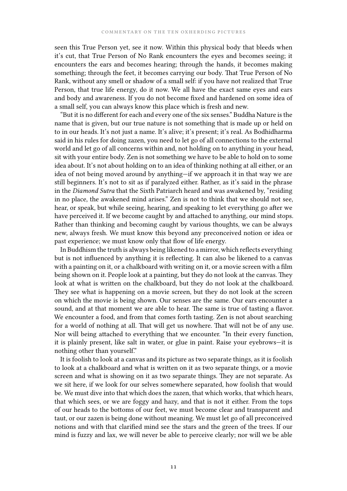seen this True Person yet, see it now. Within this physical body that bleeds when it's cut, that True Person of No Rank encounters the eyes and becomes seeing; it encounters the ears and becomes hearing; through the hands, it becomes making something; through the feet, it becomes carrying our body. That True Person of No Rank, without any smell or shadow of a small self: if you have not realized that True Person, that true life energy, do it now. We all have the exact same eyes and ears and body and awareness. If you do not become fixed and hardened on some idea of a small self, you can always know this place which is fresh and new.

"But it is no different for each and every one of the six senses." Buddha Nature is the name that is given, but our true nature is not something that is made up or held on to in our heads. It's not just a name. It's alive; it's present; it's real. As Bodhidharma said in his rules for doing zazen, you need to let go of all connections to the external world and let go of all concerns within and, not holding on to anything in your head, sit with your entire body. Zen is not something we have to be able to hold on to some idea about. It's not about holding on to an idea of thinking nothing at all either, or an idea of not being moved around by anything—if we approach it in that way we are still beginners. It's not to sit as if paralyzed either. Rather, as it's said in the phrase in the *Diamond Sutra* that the Sixth Patriarch heard and was awakened by, "residing in no place, the awakened mind arises." Zen is not to think that we should not see, hear, or speak, but while seeing, hearing, and speaking to let everything go after we have perceived it. If we become caught by and attached to anything, our mind stops. Rather than thinking and becoming caught by various thoughts, we can be always new, always fresh. We must know this beyond any preconceived notion or idea or past experience; we must know only that flow of life energy.

In Buddhism the truth is always being likened to a mirror, which reflects everything but is not influenced by anything it is reflecting. It can also be likened to a canvas with a painting on it, or a chalkboard with writing on it, or a movie screen with a film being shown on it. People look at a painting, but they do not look at the canvas. They look at what is written on the chalkboard, but they do not look at the chalkboard. They see what is happening on a movie screen, but they do not look at the screen on which the movie is being shown. Our senses are the same. Our ears encounter a sound, and at that moment we are able to hear. The same is true of tasting a flavor. We encounter a food, and from that comes forth tasting. Zen is not about searching for a world of nothing at all. That will get us nowhere. That will not be of any use. Nor will being attached to everything that we encounter. "In their every function, it is plainly present, like salt in water, or glue in paint. Raise your eyebrows—it is nothing other than yourself."

It is foolish to look at a canvas and its picture as two separate things, as it is foolish to look at a chalkboard and what is written on it as two separate things, or a movie screen and what is showing on it as two separate things. They are not separate. As we sit here, if we look for our selves somewhere separated, how foolish that would be. We must dive into that which does the zazen, that which works, that which hears, that which sees, or we are foggy and hazy, and that is not it either. From the tops of our heads to the bottoms of our feet, we must become clear and transparent and taut, or our zazen is being done without meaning. We must let go of all preconceived notions and with that clarified mind see the stars and the green of the trees. If our mind is fuzzy and lax, we will never be able to perceive clearly; nor will we be able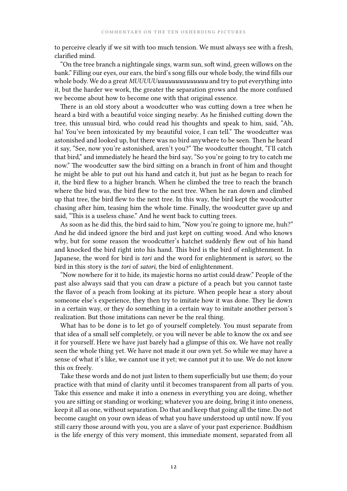to perceive clearly if we sit with too much tension. We must always see with a fresh, clarified mind.

"On the tree branch a nightingale sings, warm sun, soft wind, green willows on the bank." Filling our eyes, our ears, the bird's song fills our whole body, the wind fills our whole body. We do a great *MUUUUUuuuuuuuuuuuuuu* and try to put everything into it, but the harder we work, the greater the separation grows and the more confused we become about how to become one with that original essence.

There is an old story about a woodcutter who was cutting down a tree when he heard a bird with a beautiful voice singing nearby. As he finished cutting down the tree, this unusual bird, who could read his thoughts and speak to him, said, "Ah, ha! You've been intoxicated by my beautiful voice, I can tell." The woodcutter was astonished and looked up, but there was no bird anywhere to be seen. Then he heard it say, "See, now you're astonished, aren't you?" The woodcutter thought, "I'll catch that bird," and immediately he heard the bird say, "So you're going to try to catch me now." The woodcutter saw the bird sitting on a branch in front of him and thought he might be able to put out his hand and catch it, but just as he began to reach for it, the bird flew to a higher branch. When he climbed the tree to reach the branch where the bird was, the bird flew to the next tree. When he ran down and climbed up that tree, the bird flew to the next tree. In this way, the bird kept the woodcutter chasing after him, teasing him the whole time. Finally, the woodcutter gave up and said, "This is a useless chase." And he went back to cutting trees.

As soon as he did this, the bird said to him, "Now you're going to ignore me, huh?" And he did indeed ignore the bird and just kept on cutting wood. And who knows why, but for some reason the woodcutter's hatchet suddenly flew out of his hand and knocked the bird right into his hand. This bird is the bird of enlightenment. In Japanese, the word for bird is *tori* and the word for enlightenment is *satori*, so the bird in this story is the *tori* of *satori*, the bird of enlightenment.

"Now nowhere for it to hide, its majestic horns no artist could draw." People of the past also always said that you can draw a picture of a peach but you cannot taste the flavor of a peach from looking at its picture. When people hear a story about someone else's experience, they then try to imitate how it was done. They lie down in a certain way, or they do something in a certain way to imitate another person's realization. But those imitations can never be the real thing.

What has to be done is to let go of yourself completely. You must separate from that idea of a small self completely, or you will never be able to know the ox and see it for yourself. Here we have just barely had a glimpse of this ox. We have not really seen the whole thing yet. We have not made it our own yet. So while we may have a sense of what it's like, we cannot use it yet; we cannot put it to use. We do not know this ox freely.

Take these words and do not just listen to them superficially but use them; do your practice with that mind of clarity until it becomes transparent from all parts of you. Take this essence and make it into a oneness in everything you are doing, whether you are sitting or standing or working; whatever you are doing, bring it into oneness, keep it all as one, without separation. Do that and keep that going all the time. Do not become caught on your own ideas of what you have understood up until now. If you still carry those around with you, you are a slave of your past experience. Buddhism is the life energy of this very moment, this immediate moment, separated from all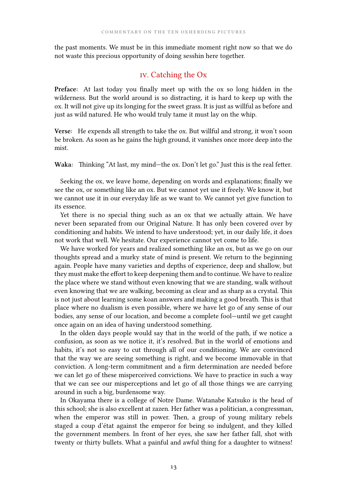the past moments. We must be in this immediate moment right now so that we do not waste this precious opportunity of doing sesshin here together.

## iv. Catching the Ox

**Preface:** At last today you finally meet up with the ox so long hidden in the wilderness. But the world around is so distracting, it is hard to keep up with the ox. It will not give up its longing for the sweet grass. It is just as willful as before and just as wild natured. He who would truly tame it must lay on the whip.

**Verse:** He expends all strength to take the ox. But willful and strong, it won't soon be broken. As soon as he gains the high ground, it vanishes once more deep into the mist.

**Waka:** Thinking "At last, my mind—the ox. Don't let go." Just this is the real fetter.

Seeking the ox, we leave home, depending on words and explanations; finally we see the ox, or something like an ox. But we cannot yet use it freely. We know it, but we cannot use it in our everyday life as we want to. We cannot yet give function to its essence.

Yet there is no special thing such as an ox that we actually attain. We have never been separated from our Original Nature. It has only been covered over by conditioning and habits. We intend to have understood; yet, in our daily life, it does not work that well. We hesitate. Our experience cannot yet come to life.

We have worked for years and realized something like an ox, but as we go on our thoughts spread and a murky state of mind is present. We return to the beginning again. People have many varieties and depths of experience, deep and shallow, but they must make the effort to keep deepening them and to continue. We have to realize the place where we stand without even knowing that we are standing, walk without even knowing that we are walking, becoming as clear and as sharp as a crystal. This is not just about learning some koan answers and making a good breath. This is that place where no dualism is even possible, where we have let go of any sense of our bodies, any sense of our location, and become a complete fool—until we get caught once again on an idea of having understood something.

In the olden days people would say that in the world of the path, if we notice a confusion, as soon as we notice it, it's resolved. But in the world of emotions and habits, it's not so easy to cut through all of our conditioning. We are convinced that the way we are seeing something is right, and we become immovable in that conviction. A long-term commitment and a firm determination are needed before we can let go of these misperceived convictions. We have to practice in such a way that we can see our misperceptions and let go of all those things we are carrying around in such a big, burdensome way.

In Okayama there is a college of Notre Dame. Watanabe Katsuko is the head of this school; she is also excellent at zazen. Her father was a politician, a congressman, when the emperor was still in power. Then, a group of young military rebels staged a coup d'état against the emperor for being so indulgent, and they killed the government members. In front of her eyes, she saw her father fall, shot with twenty or thirty bullets. What a painful and awful thing for a daughter to witness!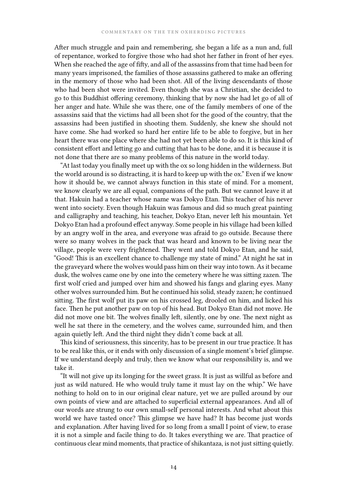After much struggle and pain and remembering, she began a life as a nun and, full of repentance, worked to forgive those who had shot her father in front of her eyes. When she reached the age of fifty, and all of the assassins from that time had been for many years imprisoned, the families of those assassins gathered to make an offering in the memory of those who had been shot. All of the living descendants of those who had been shot were invited. Even though she was a Christian, she decided to go to this Buddhist offering ceremony, thinking that by now she had let go of all of her anger and hate. While she was there, one of the family members of one of the assassins said that the victims had all been shot for the good of the country, that the assassins had been justified in shooting them. Suddenly, she knew she should not have come. She had worked so hard her entire life to be able to forgive, but in her heart there was one place where she had not yet been able to do so. It is this kind of consistent effort and letting go and cutting that has to be done, and it is because it is not done that there are so many problems of this nature in the world today.

"At last today you finally meet up with the ox so long hidden in the wilderness. But the world around is so distracting, it is hard to keep up with the ox." Even if we know how it should be, we cannot always function in this state of mind. For a moment, we know clearly we are all equal, companions of the path. But we cannot leave it at that. Hakuin had a teacher whose name was Dokyo Etan. This teacher of his never went into society. Even though Hakuin was famous and did so much great painting and calligraphy and teaching, his teacher, Dokyo Etan, never left his mountain. Yet Dokyo Etan had a profound effect anyway. Some people in his village had been killed by an angry wolf in the area, and everyone was afraid to go outside. Because there were so many wolves in the pack that was heard and known to be living near the village, people were very frightened. They went and told Dokyo Etan, and he said, "Good! This is an excellent chance to challenge my state of mind." At night he sat in the graveyard where the wolves would pass him on their way into town. As it became dusk, the wolves came one by one into the cemetery where he was sitting zazen. The first wolf cried and jumped over him and showed his fangs and glaring eyes. Many other wolves surrounded him. But he continued his solid, steady zazen; he continued sitting. The first wolf put its paw on his crossed leg, drooled on him, and licked his face. Then he put another paw on top of his head. But Dokyo Etan did not move. He did not move one bit. The wolves finally left, silently, one by one. The next night as well he sat there in the cemetery, and the wolves came, surrounded him, and then again quietly left. And the third night they didn't come back at all.

This kind of seriousness, this sincerity, has to be present in our true practice. It has to be real like this, or it ends with only discussion of a single moment's brief glimpse. If we understand deeply and truly, then we know what our responsibility is, and we take it.

"It will not give up its longing for the sweet grass. It is just as willful as before and just as wild natured. He who would truly tame it must lay on the whip." We have nothing to hold on to in our original clear nature, yet we are pulled around by our own points of view and are attached to superficial external appearances. And all of our words are strung to our own small-self personal interests. And what about this world we have tasted once? This glimpse we have had? It has become just words and explanation. After having lived for so long from a small I point of view, to erase it is not a simple and facile thing to do. It takes everything we are. That practice of continuous clear mind moments, that practice of shikantaza, is not just sitting quietly.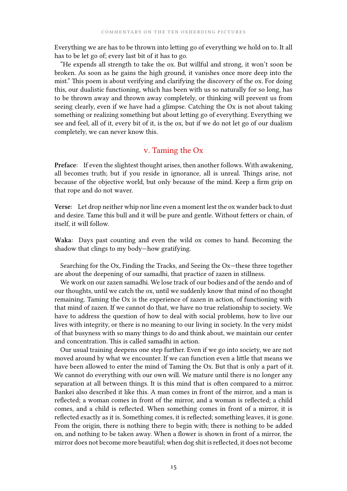Everything we are has to be thrown into letting go of everything we hold on to. It all has to be let go of; every last bit of it has to go.

"He expends all strength to take the ox. But willful and strong, it won't soon be broken. As soon as he gains the high ground, it vanishes once more deep into the mist." This poem is about verifying and clarifying the discovery of the ox. For doing this, our dualistic functioning, which has been with us so naturally for so long, has to be thrown away and thrown away completely, or thinking will prevent us from seeing clearly, even if we have had a glimpse. Catching the Ox is not about taking something or realizing something but about letting go of everything. Everything we see and feel, all of it, every bit of it, is the ox, but if we do not let go of our dualism completely, we can never know this.

## v. Taming the Ox

**Preface:** If even the slightest thought arises, then another follows. With awakening, all becomes truth; but if you reside in ignorance, all is unreal. Things arise, not because of the objective world, but only because of the mind. Keep a firm grip on that rope and do not waver.

**Verse:** Let drop neither whip nor line even a moment lest the ox wander back to dust and desire. Tame this bull and it will be pure and gentle. Without fetters or chain, of itself, it will follow.

**Waka:** Days past counting and even the wild ox comes to hand. Becoming the shadow that clings to my body—how gratifying.

Searching for the Ox, Finding the Tracks, and Seeing the Ox—these three together are about the deepening of our samadhi, that practice of zazen in stillness.

We work on our zazen samadhi. We lose track of our bodies and of the zendo and of our thoughts, until we catch the ox, until we suddenly know that mind of no thought remaining. Taming the Ox is the experience of zazen in action, of functioning with that mind of zazen. If we cannot do that, we have no true relationship to society. We have to address the question of how to deal with social problems, how to live our lives with integrity, or there is no meaning to our living in society. In the very midst of that busyness with so many things to do and think about, we maintain our center and concentration. This is called samadhi in action.

Our usual training deepens one step further. Even if we go into society, we are not moved around by what we encounter. If we can function even a little that means we have been allowed to enter the mind of Taming the Ox. But that is only a part of it. We cannot do everything with our own will. We mature until there is no longer any separation at all between things. It is this mind that is often compared to a mirror. Bankei also described it like this. A man comes in front of the mirror, and a man is reflected; a woman comes in front of the mirror, and a woman is reflected; a child comes, and a child is reflected. When something comes in front of a mirror, it is reflected exactly as it is. Something comes, it is reflected; something leaves, it is gone. From the origin, there is nothing there to begin with; there is nothing to be added on, and nothing to be taken away. When a flower is shown in front of a mirror, the mirror does not become more beautiful; when dog shit is reflected, it does not become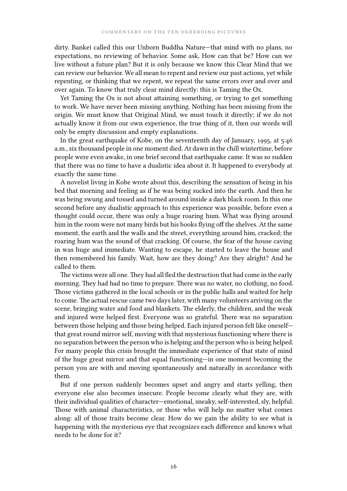dirty. Bankei called this our Unborn Buddha Nature—that mind with no plans, no expectations, no reviewing of behavior. Some ask, How can that be? How can we live without a future plan? But it is only because we know this Clear Mind that we can review our behavior. We all mean to repent and review our past actions, yet while repenting, or thinking that we repent, we repeat the same errors over and over and over again. To know that truly clear mind directly: this is Taming the Ox.

Yet Taming the Ox is not about attaining something, or trying to get something to work. We have never been missing anything. Nothing has been missing from the origin. We must know that Original Mind, we must touch it directly; if we do not actually know it from our own experience, the true thing of it, then our words will only be empty discussion and empty explanations.

In the great earthquake of Kobe, on the seventeenth day of January, 1995, at 5:46 a.m., six thousand people in one moment died. At dawn in the chill wintertime, before people were even awake, in one brief second that earthquake came. It was so sudden that there was no time to have a dualistic idea about it. It happened to everybody at exactly the same time.

A novelist living in Kobe wrote about this, describing the sensation of being in his bed that morning and feeling as if he was being sucked into the earth. And then he was being swung and tossed and turned around inside a dark black room. In this one second before any dualistic approach to this experience was possible, before even a thought could occur, there was only a huge roaring hum. What was flying around him in the room were not many birds but his books flying off the shelves. At the same moment, the earth and the walls and the street, everything around him, cracked; the roaring hum was the sound of that cracking. Of course, the fear of the house caving in was huge and immediate. Wanting to escape, he started to leave the house and then remembered his family. Wait, how are they doing? Are they alright? And he called to them.

The victims were all one. They had all fled the destruction that had come in the early morning. They had had no time to prepare. There was no water, no clothing, no food. Those victims gathered in the local schools or in the public halls and waited for help to come. The actual rescue came two days later, with many volunteers arriving on the scene, bringing water and food and blankets. The elderly, the children, and the weak and injured were helped first. Everyone was so grateful. There was no separation between those helping and those being helped. Each injured person felt like oneself that great round mirror self, moving with that mysterious functioning where there is no separation between the person who is helping and the person who is being helped. For many people this crisis brought the immediate experience of that state of mind of the huge great mirror and that equal functioning—in one moment becoming the person you are with and moving spontaneously and naturally in accordance with them.

But if one person suddenly becomes upset and angry and starts yelling, then everyone else also becomes insecure. People become clearly what they are, with their individual qualities of character—emotional, sneaky, self-interested, sly, helpful. Those with animal characteristics, or those who will help no matter what comes along: all of those traits become clear. How do we gain the ability to see what is happening with the mysterious eye that recognizes each difference and knows what needs to be done for it?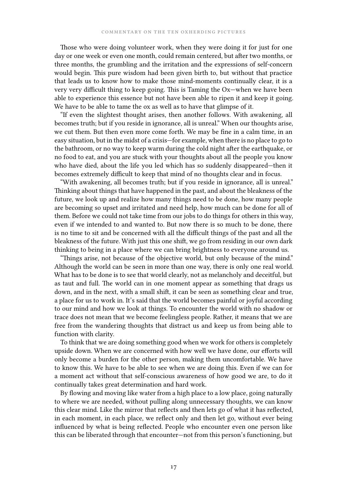Those who were doing volunteer work, when they were doing it for just for one day or one week or even one month, could remain centered, but after two months, or three months, the grumbling and the irritation and the expressions of self-concern would begin. This pure wisdom had been given birth to, but without that practice that leads us to know how to make those mind-moments continually clear, it is a very very difficult thing to keep going. This is Taming the Ox—when we have been able to experience this essence but not have been able to ripen it and keep it going. We have to be able to tame the ox as well as to have that glimpse of it.

"If even the slightest thought arises, then another follows. With awakening, all becomes truth; but if you reside in ignorance, all is unreal." When our thoughts arise, we cut them. But then even more come forth. We may be fine in a calm time, in an easy situation, but in the midst of a crisis—for example, when there is no place to go to the bathroom, or no way to keep warm during the cold night after the earthquake, or no food to eat, and you are stuck with your thoughts about all the people you know who have died, about the life you led which has so suddenly disappeared—then it becomes extremely difficult to keep that mind of no thoughts clear and in focus.

"With awakening, all becomes truth; but if you reside in ignorance, all is unreal." Thinking about things that have happened in the past, and about the bleakness of the future, we look up and realize how many things need to be done, how many people are becoming so upset and irritated and need help, how much can be done for all of them. Before we could not take time from our jobs to do things for others in this way, even if we intended to and wanted to. But now there is so much to be done, there is no time to sit and be concerned with all the difficult things of the past and all the bleakness of the future. With just this one shift, we go from residing in our own dark thinking to being in a place where we can bring brightness to everyone around us.

"Things arise, not because of the objective world, but only because of the mind." Although the world can be seen in more than one way, there is only one real world. What has to be done is to see that world clearly, not as melancholy and deceitful, but as taut and full. The world can in one moment appear as something that drags us down, and in the next, with a small shift, it can be seen as something clear and true, a place for us to work in. It's said that the world becomes painful or joyful according to our mind and how we look at things. To encounter the world with no shadow or trace does not mean that we become feelingless people. Rather, it means that we are free from the wandering thoughts that distract us and keep us from being able to function with clarity.

To think that we are doing something good when we work for others is completely upside down. When we are concerned with how well we have done, our efforts will only become a burden for the other person, making them uncomfortable. We have to know this. We have to be able to see when we are doing this. Even if we can for a moment act without that self-conscious awareness of how good we are, to do it continually takes great determination and hard work.

By flowing and moving like water from a high place to a low place, going naturally to where we are needed, without pulling along unnecessary thoughts, we can know this clear mind. Like the mirror that reflects and then lets go of what it has reflected, in each moment, in each place, we reflect only and then let go, without ever being influenced by what is being reflected. People who encounter even one person like this can be liberated through that encounter—not from this person's functioning, but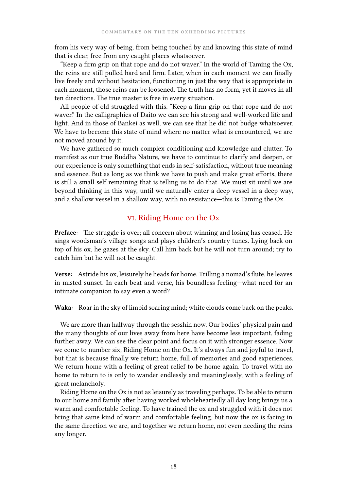from his very way of being, from being touched by and knowing this state of mind that is clear, free from any caught places whatsoever.

"Keep a firm grip on that rope and do not waver." In the world of Taming the Ox, the reins are still pulled hard and firm. Later, when in each moment we can finally live freely and without hesitation, functioning in just the way that is appropriate in each moment, those reins can be loosened. The truth has no form, yet it moves in all ten directions. The true master is free in every situation.

All people of old struggled with this. "Keep a firm grip on that rope and do not waver." In the calligraphies of Daito we can see his strong and well-worked life and light. And in those of Bankei as well, we can see that he did not budge whatsoever. We have to become this state of mind where no matter what is encountered, we are not moved around by it.

We have gathered so much complex conditioning and knowledge and clutter. To manifest as our true Buddha Nature, we have to continue to clarify and deepen, or our experience is only something that ends in self-satisfaction, without true meaning and essence. But as long as we think we have to push and make great efforts, there is still a small self remaining that is telling us to do that. We must sit until we are beyond thinking in this way, until we naturally enter a deep vessel in a deep way, and a shallow vessel in a shallow way, with no resistance—this is Taming the Ox.

#### vi. Riding Home on the Ox

**Preface:** The struggle is over; all concern about winning and losing has ceased. He sings woodsman's village songs and plays children's country tunes. Lying back on top of his ox, he gazes at the sky. Call him back but he will not turn around; try to catch him but he will not be caught.

**Verse:** Astride his ox, leisurely he heads for home. Trilling a nomad's flute, he leaves in misted sunset. In each beat and verse, his boundless feeling—what need for an intimate companion to say even a word?

**Waka:** Roar in the sky of limpid soaring mind; white clouds come back on the peaks.

We are more than halfway through the sesshin now. Our bodies' physical pain and the many thoughts of our lives away from here have become less important, fading further away. We can see the clear point and focus on it with stronger essence. Now we come to number six, Riding Home on the Ox. It's always fun and joyful to travel, but that is because finally we return home, full of memories and good experiences. We return home with a feeling of great relief to be home again. To travel with no home to return to is only to wander endlessly and meaninglessly, with a feeling of great melancholy.

Riding Home on the Ox is not as leisurely as traveling perhaps. To be able to return to our home and family after having worked wholeheartedly all day long brings us a warm and comfortable feeling. To have trained the ox and struggled with it does not bring that same kind of warm and comfortable feeling, but now the ox is facing in the same direction we are, and together we return home, not even needing the reins any longer.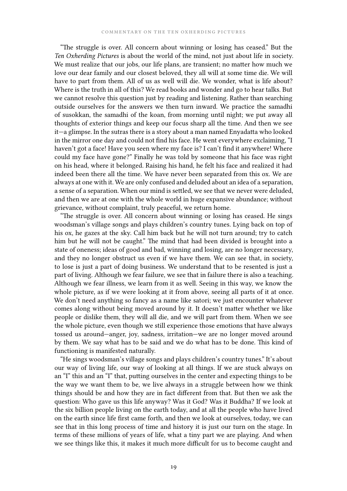"The struggle is over. All concern about winning or losing has ceased." But the *Ten Oxherding Pictures* is about the world of the mind, not just about life in society. We must realize that our jobs, our life plans, are transient; no matter how much we love our dear family and our closest beloved, they all will at some time die. We will have to part from them. All of us as well will die. We wonder, what is life about? Where is the truth in all of this? We read books and wonder and go to hear talks. But we cannot resolve this question just by reading and listening. Rather than searching outside ourselves for the answers we then turn inward. We practice the samadhi of susokkan, the samadhi of the koan, from morning until night; we put away all thoughts of exterior things and keep our focus sharp all the time. And then we see it—a glimpse. In the sutras there is a story about a man named Enyadatta who looked in the mirror one day and could not find his face. He went everywhere exclaiming, "I haven't got a face! Have you seen where my face is? I can't find it anywhere! Where could my face have gone?" Finally he was told by someone that his face was right on his head, where it belonged. Raising his hand, he felt his face and realized it had indeed been there all the time. We have never been separated from this ox. We are always at one with it. We are only confused and deluded about an idea of a separation, a sense of a separation. When our mind is settled, we see that we never were deluded, and then we are at one with the whole world in huge expansive abundance; without grievance, without complaint, truly peaceful, we return home.

"The struggle is over. All concern about winning or losing has ceased. He sings woodsman's village songs and plays children's country tunes. Lying back on top of his ox, he gazes at the sky. Call him back but he will not turn around; try to catch him but he will not be caught." The mind that had been divided is brought into a state of oneness; ideas of good and bad, winning and losing, are no longer necessary, and they no longer obstruct us even if we have them. We can see that, in society, to lose is just a part of doing business. We understand that to be resented is just a part of living. Although we fear failure, we see that in failure there is also a teaching. Although we fear illness, we learn from it as well. Seeing in this way, we know the whole picture, as if we were looking at it from above, seeing all parts of it at once. We don't need anything so fancy as a name like satori; we just encounter whatever comes along without being moved around by it. It doesn't matter whether we like people or dislike them, they will all die, and we will part from them. When we see the whole picture, even though we still experience those emotions that have always tossed us around—anger, joy, sadness, irritation—we are no longer moved around by them. We say what has to be said and we do what has to be done. This kind of functioning is manifested naturally.

"He sings woodsman's village songs and plays children's country tunes." It's about our way of living life, our way of looking at all things. If we are stuck always on an "I" this and an "I" that, putting ourselves in the center and expecting things to be the way we want them to be, we live always in a struggle between how we think things should be and how they are in fact different from that. But then we ask the question: Who gave us this life anyway? Was it God? Was it Buddha? If we look at the six billion people living on the earth today, and at all the people who have lived on the earth since life first came forth, and then we look at ourselves, today, we can see that in this long process of time and history it is just our turn on the stage. In terms of these millions of years of life, what a tiny part we are playing. And when we see things like this, it makes it much more difficult for us to become caught and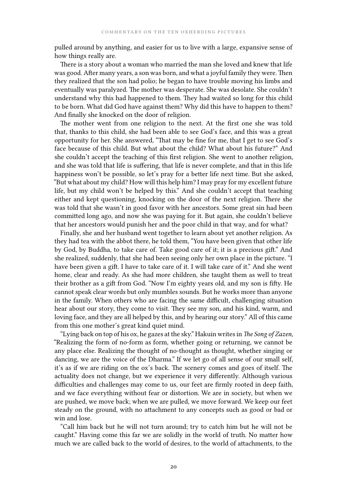pulled around by anything, and easier for us to live with a large, expansive sense of how things really are.

There is a story about a woman who married the man she loved and knew that life was good. After many years, a son was born, and what a joyful family they were. Then they realized that the son had polio; he began to have trouble moving his limbs and eventually was paralyzed. The mother was desperate. She was desolate. She couldn't understand why this had happened to them. They had waited so long for this child to be born. What did God have against them? Why did this have to happen to them? And finally she knocked on the door of religion.

The mother went from one religion to the next. At the first one she was told that, thanks to this child, she had been able to see God's face, and this was a great opportunity for her. She answered, "That may be fine for me, that I get to see God's face because of this child. But what about the child? What about his future?" And she couldn't accept the teaching of this first religion. She went to another religion, and she was told that life is suffering, that life is never complete, and that in this life happiness won't be possible, so let's pray for a better life next time. But she asked, "But what about my child? How will this help him? I may pray for my excellent future life, but my child won't be helped by this." And she couldn't accept that teaching either and kept questioning, knocking on the door of the next religion. There she was told that she wasn't in good favor with her ancestors. Some great sin had been committed long ago, and now she was paying for it. But again, she couldn't believe that her ancestors would punish her and the poor child in that way, and for what?

Finally, she and her husband went together to learn about yet another religion. As they had tea with the abbot there, he told them, "You have been given that other life by God, by Buddha, to take care of. Take good care of it; it is a precious gift." And she realized, suddenly, that she had been seeing only her own place in the picture. "I have been given a gift. I have to take care of it. I will take care of it." And she went home, clear and ready. As she had more children, she taught them as well to treat their brother as a gift from God. "Now I'm eighty years old, and my son is fifty. He cannot speak clear words but only mumbles sounds. But he works more than anyone in the family. When others who are facing the same difficult, challenging situation hear about our story, they come to visit. They see my son, and his kind, warm, and loving face, and they are all helped by this, and by hearing our story." All of this came from this one mother's great kind quiet mind.

"Lying back on top of his ox, he gazes at the sky." Hakuin writes in *The Song of Zazen*, "Realizing the form of no-form as form, whether going or returning, we cannot be any place else. Realizing the thought of no-thought as thought, whether singing or dancing, we are the voice of the Dharma." If we let go of all sense of our small self, it's as if we are riding on the ox's back. The scenery comes and goes of itself. The actuality does not change, but we experience it very differently. Although various difficulties and challenges may come to us, our feet are firmly rooted in deep faith, and we face everything without fear or distortion. We are in society, but when we are pushed, we move back; when we are pulled, we move forward. We keep our feet steady on the ground, with no attachment to any concepts such as good or bad or win and lose.

"Call him back but he will not turn around; try to catch him but he will not be caught." Having come this far we are solidly in the world of truth. No matter how much we are called back to the world of desires, to the world of attachments, to the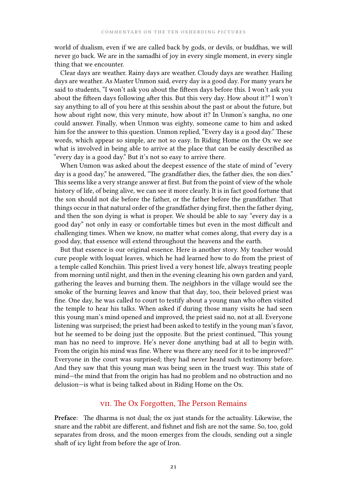world of dualism, even if we are called back by gods, or devils, or buddhas, we will never go back. We are in the samadhi of joy in every single moment, in every single thing that we encounter.

Clear days are weather. Rainy days are weather. Cloudy days are weather. Hailing days are weather. As Master Unmon said, every day is a good day. For many years he said to students, "I won't ask you about the fifteen days before this. I won't ask you about the fifteen days following after this. But this very day. How about it?" I won't say anything to all of you here at this sesshin about the past or about the future, but how about right now, this very minute, how about it? In Unmon's sangha, no one could answer. Finally, when Unmon was eighty, someone came to him and asked him for the answer to this question. Unmon replied, "Every day is a good day." These words, which appear so simple, are not so easy. In Riding Home on the Ox we see what is involved in being able to arrive at the place that can be easily described as "every day is a good day." But it's not so easy to arrive there.

When Unmon was asked about the deepest essence of the state of mind of "every day is a good day," he answered, "The grandfather dies, the father dies, the son dies." This seems like a very strange answer at first. But from the point of view of the whole history of life, of being alive, we can see it more clearly. It is in fact good fortune that the son should not die before the father, or the father before the grandfather. That things occur in that natural order of the grandfather dying first, then the father dying, and then the son dying is what is proper. We should be able to say "every day is a good day" not only in easy or comfortable times but even in the most difficult and challenging times. When we know, no matter what comes along, that every day is a good day, that essence will extend throughout the heavens and the earth.

But that essence is our original essence. Here is another story. My teacher would cure people with loquat leaves, which he had learned how to do from the priest of a temple called Konchiin. This priest lived a very honest life, always treating people from morning until night, and then in the evening cleaning his own garden and yard, gathering the leaves and burning them. The neighbors in the village would see the smoke of the burning leaves and know that that day, too, their beloved priest was fine. One day, he was called to court to testify about a young man who often visited the temple to hear his talks. When asked if during those many visits he had seen this young man's mind opened and improved, the priest said no, not at all. Everyone listening was surprised; the priest had been asked to testify in the young man's favor, but he seemed to be doing just the opposite. But the priest continued, "This young man has no need to improve. He's never done anything bad at all to begin with. From the origin his mind was fine. Where was there any need for it to be improved?" Everyone in the court was surprised; they had never heard such testimony before. And they saw that this young man was being seen in the truest way. This state of mind—the mind that from the origin has had no problem and no obstruction and no delusion—is what is being talked about in Riding Home on the Ox.

### vii. The Ox Forgotten, The Person Remains

**Preface:** The dharma is not dual; the ox just stands for the actuality. Likewise, the snare and the rabbit are different, and fishnet and fish are not the same. So, too, gold separates from dross, and the moon emerges from the clouds, sending out a single shaft of icy light from before the age of Iron.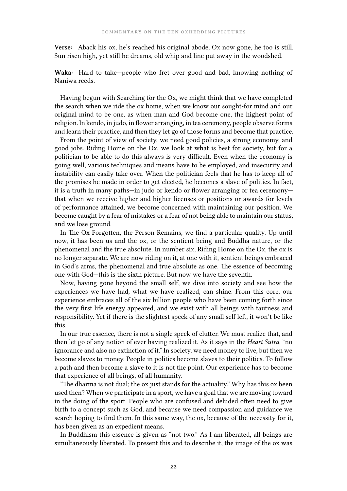**Verse:** Aback his ox, he's reached his original abode, Ox now gone, he too is still. Sun risen high, yet still he dreams, old whip and line put away in the woodshed.

**Waka:** Hard to take—people who fret over good and bad, knowing nothing of Naniwa reeds.

Having begun with Searching for the Ox, we might think that we have completed the search when we ride the ox home, when we know our sought-for mind and our original mind to be one, as when man and God become one, the highest point of religion. In kendo, in judo, in flower arranging, in tea ceremony, people observe forms and learn their practice, and then they let go of those forms and become that practice.

From the point of view of society, we need good policies, a strong economy, and good jobs. Riding Home on the Ox, we look at what is best for society, but for a politician to be able to do this always is very difficult. Even when the economy is going well, various techniques and means have to be employed, and insecurity and instability can easily take over. When the politician feels that he has to keep all of the promises he made in order to get elected, he becomes a slave of politics. In fact, it is a truth in many paths—in judo or kendo or flower arranging or tea ceremony that when we receive higher and higher licenses or positions or awards for levels of performance attained, we become concerned with maintaining our position. We become caught by a fear of mistakes or a fear of not being able to maintain our status, and we lose ground.

In The Ox Forgotten, the Person Remains, we find a particular quality. Up until now, it has been us and the ox, or the sentient being and Buddha nature, or the phenomenal and the true absolute. In number six, Riding Home on the Ox, the ox is no longer separate. We are now riding on it, at one with it, sentient beings embraced in God's arms, the phenomenal and true absolute as one. The essence of becoming one with God—this is the sixth picture. But now we have the seventh.

Now, having gone beyond the small self, we dive into society and see how the experiences we have had, what we have realized, can shine. From this core, our experience embraces all of the six billion people who have been coming forth since the very first life energy appeared, and we exist with all beings with tautness and responsibility. Yet if there is the slightest speck of any small self left, it won't be like this.

In our true essence, there is not a single speck of clutter. We must realize that, and then let go of any notion of ever having realized it. As it says in the *Heart Sutra*, "no ignorance and also no extinction of it." In society, we need money to live, but then we become slaves to money. People in politics become slaves to their politics. To follow a path and then become a slave to it is not the point. Our experience has to become that experience of all beings, of all humanity.

"The dharma is not dual; the ox just stands for the actuality." Why has this ox been used then? When we participate in a sport, we have a goal that we are moving toward in the doing of the sport. People who are confused and deluded often need to give birth to a concept such as God, and because we need compassion and guidance we search hoping to find them. In this same way, the ox, because of the necessity for it, has been given as an expedient means.

In Buddhism this essence is given as "not two." As I am liberated, all beings are simultaneously liberated. To present this and to describe it, the image of the ox was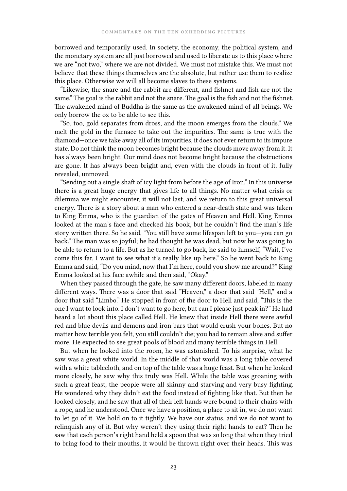borrowed and temporarily used. In society, the economy, the political system, and the monetary system are all just borrowed and used to liberate us to this place where we are "not two," where we are not divided. We must not mistake this. We must not believe that these things themselves are the absolute, but rather use them to realize this place. Otherwise we will all become slaves to these systems.

"Likewise, the snare and the rabbit are different, and fishnet and fish are not the same." The goal is the rabbit and not the snare. The goal is the fish and not the fishnet. The awakened mind of Buddha is the same as the awakened mind of all beings. We only borrow the ox to be able to see this.

"So, too, gold separates from dross, and the moon emerges from the clouds." We melt the gold in the furnace to take out the impurities. The same is true with the diamond—once we take away all of its impurities, it does not ever return to its impure state. Do not think the moon becomes bright because the clouds move away from it. It has always been bright. Our mind does not become bright because the obstructions are gone. It has always been bright and, even with the clouds in front of it, fully revealed, unmoved.

"Sending out a single shaft of icy light from before the age of Iron." In this universe there is a great huge energy that gives life to all things. No matter what crisis or dilemma we might encounter, it will not last, and we return to this great universal energy. There is a story about a man who entered a near-death state and was taken to King Emma, who is the guardian of the gates of Heaven and Hell. King Emma looked at the man's face and checked his book, but he couldn't find the man's life story written there. So he said, "You still have some lifespan left to you—you can go back." The man was so joyful; he had thought he was dead, but now he was going to be able to return to a life. But as he turned to go back, he said to himself, "Wait, I've come this far, I want to see what it's really like up here." So he went back to King Emma and said, "Do you mind, now that I'm here, could you show me around?" King Emma looked at his face awhile and then said, "Okay."

When they passed through the gate, he saw many different doors, labeled in many different ways. There was a door that said "Heaven," a door that said "Hell," and a door that said "Limbo." He stopped in front of the door to Hell and said, "This is the one I want to look into. I don't want to go here, but can I please just peak in?" He had heard a lot about this place called Hell. He knew that inside Hell there were awful red and blue devils and demons and iron bars that would crush your bones. But no matter how terrible you felt, you still couldn't die; you had to remain alive and suffer more. He expected to see great pools of blood and many terrible things in Hell.

But when he looked into the room, he was astonished. To his surprise, what he saw was a great white world. In the middle of that world was a long table covered with a white tablecloth, and on top of the table was a huge feast. But when he looked more closely, he saw why this truly was Hell. While the table was groaning with such a great feast, the people were all skinny and starving and very busy fighting. He wondered why they didn't eat the food instead of fighting like that. But then he looked closely, and he saw that all of their left hands were bound to their chairs with a rope, and he understood. Once we have a position, a place to sit in, we do not want to let go of it. We hold on to it tightly. We have our status, and we do not want to relinquish any of it. But why weren't they using their right hands to eat? Then he saw that each person's right hand held a spoon that was so long that when they tried to bring food to their mouths, it would be thrown right over their heads. This was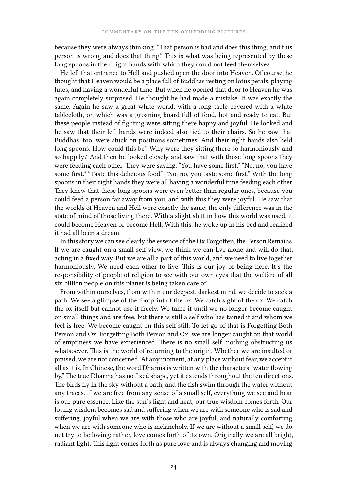because they were always thinking, "That person is bad and does this thing, and this person is wrong and does that thing." This is what was being represented by these long spoons in their right hands with which they could not feed themselves.

He left that entrance to Hell and pushed open the door into Heaven. Of course, he thought that Heaven would be a place full of Buddhas resting on lotus petals, playing lutes, and having a wonderful time. But when he opened that door to Heaven he was again completely surprised. He thought he had made a mistake. It was exactly the same. Again he saw a great white world, with a long table covered with a white tablecloth, on which was a groaning board full of food, hot and ready to eat. But these people instead of fighting were sitting there happy and joyful. He looked and he saw that their left hands were indeed also tied to their chairs. So he saw that Buddhas, too, were stuck on positions sometimes. And their right hands also held long spoons. How could this be? Why were they sitting there so harmoniously and so happily? And then he looked closely and saw that with those long spoons they were feeding each other. They were saying, "You have some first." "No, no, you have some first." "Taste this delicious food." "No, no, you taste some first." With the long spoons in their right hands they were all having a wonderful time feeding each other. They knew that these long spoons were even better than regular ones, because you could feed a person far away from you, and with this they were joyful. He saw that the worlds of Heaven and Hell were exactly the same; the only difference was in the state of mind of those living there. With a slight shift in how this world was used, it could become Heaven or become Hell. With this, he woke up in his bed and realized it had all been a dream.

In this story we can see clearly the essence of the Ox Forgotten, the Person Remains. If we are caught on a small-self view, we think we can live alone and will do that, acting in a fixed way. But we are all a part of this world, and we need to live together harmoniously. We need each other to live. This is our joy of being here. It's the responsibility of people of religion to see with our own eyes that the welfare of all six billion people on this planet is being taken care of.

From within ourselves, from within our deepest, darkest mind, we decide to seek a path. We see a glimpse of the footprint of the ox. We catch sight of the ox. We catch the ox itself but cannot use it freely. We tame it until we no longer become caught on small things and are free, but there is still a self who has tamed it and whom we feel is free. We become caught on this self still. To let go of that is Forgetting Both Person and Ox. Forgetting Both Person and Ox, we are longer caught on that world of emptiness we have experienced. There is no small self, nothing obstructing us whatsoever. This is the world of returning to the origin. Whether we are insulted or praised, we are not concerned. At any moment, at any place without fear, we accept it all as it is. In Chinese, the word Dharma is written with the characters "water flowing by." The true Dharma has no fixed shape, yet it extends throughout the ten directions. The birds fly in the sky without a path, and the fish swim through the water without any traces. If we are free from any sense of a small self, everything we see and hear is our pure essence. Like the sun's light and heat, our true wisdom comes forth. Our loving wisdom becomes sad and suffering when we are with someone who is sad and suffering, joyful when we are with those who are joyful, and naturally comforting when we are with someone who is melancholy. If we are without a small self, we do not try to be loving; rather, love comes forth of its own. Originally we are all bright, radiant light. This light comes forth as pure love and is always changing and moving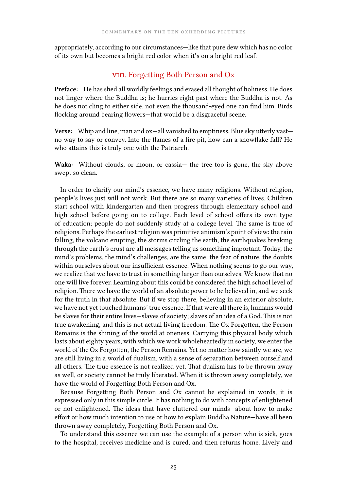appropriately, according to our circumstances—like that pure dew which has no color of its own but becomes a bright red color when it's on a bright red leaf.

## viii. Forgetting Both Person and Ox

**Preface:** He has shed all worldly feelings and erased all thought of holiness. He does not linger where the Buddha is; he hurries right past where the Buddha is not. As he does not cling to either side, not even the thousand-eyed one can find him. Birds flocking around bearing flowers—that would be a disgraceful scene.

**Verse:** Whip and line, man and ox—all vanished to emptiness. Blue sky utterly vast no way to say or convey. Into the flames of a fire pit, how can a snowflake fall? He who attains this is truly one with the Patriarch.

**Waka:** Without clouds, or moon, or cassia— the tree too is gone, the sky above swept so clean.

In order to clarify our mind's essence, we have many religions. Without religion, people's lives just will not work. But there are so many varieties of lives. Children start school with kindergarten and then progress through elementary school and high school before going on to college. Each level of school offers its own type of education; people do not suddenly study at a college level. The same is true of religions. Perhaps the earliest religion was primitive animism's point of view: the rain falling, the volcano erupting, the storms circling the earth, the earthquakes breaking through the earth's crust are all messages telling us something important. Today, the mind's problems, the mind's challenges, are the same: the fear of nature, the doubts within ourselves about our insufficient essence. When nothing seems to go our way, we realize that we have to trust in something larger than ourselves. We know that no one will live forever. Learning about this could be considered the high school level of religion. There we have the world of an absolute power to be believed in, and we seek for the truth in that absolute. But if we stop there, believing in an exterior absolute, we have not yet touched humans' true essence. If that were all there is, humans would be slaves for their entire lives—slaves of society; slaves of an idea of a God. This is not true awakening, and this is not actual living freedom. The Ox Forgotten, the Person Remains is the shining of the world at oneness. Carrying this physical body which lasts about eighty years, with which we work wholeheartedly in society, we enter the world of the Ox Forgotten, the Person Remains. Yet no matter how saintly we are, we are still living in a world of dualism, with a sense of separation between ourself and all others. The true essence is not realized yet. That dualism has to be thrown away as well, or society cannot be truly liberated. When it is thrown away completely, we have the world of Forgetting Both Person and Ox.

Because Forgetting Both Person and Ox cannot be explained in words, it is expressed only in this simple circle. It has nothing to do with concepts of enlightened or not enlightened. The ideas that have cluttered our minds—about how to make effort or how much intention to use or how to explain Buddha Nature—have all been thrown away completely, Forgetting Both Person and Ox.

To understand this essence we can use the example of a person who is sick, goes to the hospital, receives medicine and is cured, and then returns home. Lively and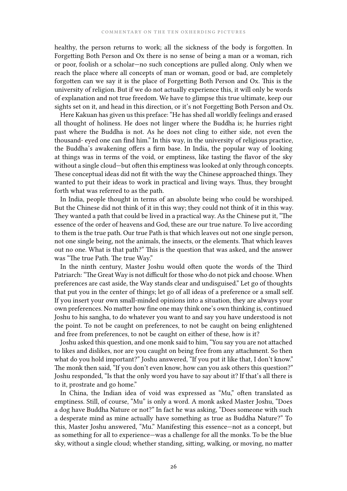healthy, the person returns to work; all the sickness of the body is forgotten. In Forgetting Both Person and Ox there is no sense of being a man or a woman, rich or poor, foolish or a scholar—no such conceptions are pulled along. Only when we reach the place where all concepts of man or woman, good or bad, are completely forgotten can we say it is the place of Forgetting Both Person and Ox. This is the university of religion. But if we do not actually experience this, it will only be words of explanation and not true freedom. We have to glimpse this true ultimate, keep our sights set on it, and head in this direction, or it's not Forgetting Both Person and Ox.

Here Kakuan has given us this preface: "He has shed all worldly feelings and erased all thought of holiness. He does not linger where the Buddha is; he hurries right past where the Buddha is not. As he does not cling to either side, not even the thousand- eyed one can find him." In this way, in the university of religious practice, the Buddha's awakening offers a firm base. In India, the popular way of looking at things was in terms of the void, or emptiness, like tasting the flavor of the sky without a single cloud—but often this emptiness was looked at only through concepts. These conceptual ideas did not fit with the way the Chinese approached things. They wanted to put their ideas to work in practical and living ways. Thus, they brought forth what was referred to as the path.

In India, people thought in terms of an absolute being who could be worshiped. But the Chinese did not think of it in this way; they could not think of it in this way. They wanted a path that could be lived in a practical way. As the Chinese put it, "The essence of the order of heavens and God, these are our true nature. To live according to them is the true path. Our true Path is that which leaves out not one single person, not one single being, not the animals, the insects, or the elements. That which leaves out no one. What is that path?" This is the question that was asked, and the answer was "The true Path. The true Way."

In the ninth century, Master Joshu would often quote the words of the Third Patriarch: "The Great Way is not difficult for those who do not pick and choose. When preferences are cast aside, the Way stands clear and undisguised." Let go of thoughts that put you in the center of things; let go of all ideas of a preference or a small self. If you insert your own small-minded opinions into a situation, they are always your own preferences. No matter how fine one may think one's own thinking is, continued Joshu to his sangha, to do whatever you want to and say you have understood is not the point. To not be caught on preferences, to not be caught on being enlightened and free from preferences, to not be caught on either of these, how is it?

Joshu asked this question, and one monk said to him, "You say you are not attached to likes and dislikes, nor are you caught on being free from any attachment. So then what do you hold important?" Joshu answered, "If you put it like that, I don't know." The monk then said, "If you don't even know, how can you ask others this question?" Joshu responded, "Is that the only word you have to say about it? If that's all there is to it, prostrate and go home."

In China, the Indian idea of void was expressed as "Mu," often translated as emptiness. Still, of course, "Mu" is only a word. A monk asked Master Joshu, "Does a dog have Buddha Nature or not?" In fact he was asking, "Does someone with such a desperate mind as mine actually have something as true as Buddha Nature?" To this, Master Joshu answered, "Mu." Manifesting this essence—not as a concept, but as something for all to experience—was a challenge for all the monks. To be the blue sky, without a single cloud; whether standing, sitting, walking, or moving, no matter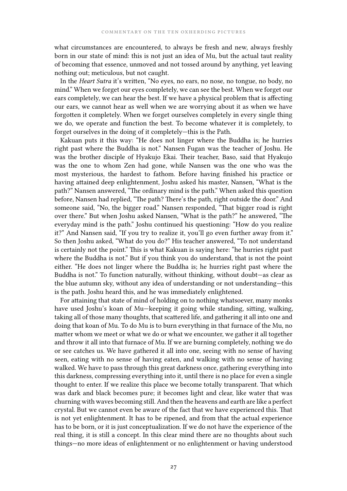what circumstances are encountered, to always be fresh and new, always freshly born in our state of mind: this is not just an idea of Mu, but the actual taut reality of becoming that essence, unmoved and not tossed around by anything, yet leaving nothing out; meticulous, but not caught.

In the *Heart Sutra* it's written, "No eyes, no ears, no nose, no tongue, no body, no mind." When we forget our eyes completely, we can see the best. When we forget our ears completely, we can hear the best. If we have a physical problem that is affecting our ears, we cannot hear as well when we are worrying about it as when we have forgotten it completely. When we forget ourselves completely in every single thing we do, we operate and function the best. To become whatever it is completely, to forget ourselves in the doing of it completely—this is the Path.

Kakuan puts it this way: "He does not linger where the Buddha is; he hurries right past where the Buddha is not." Nansen Fugan was the teacher of Joshu. He was the brother disciple of Hyakujo Ekai. Their teacher, Baso, said that Hyakujo was the one to whom Zen had gone, while Nansen was the one who was the most mysterious, the hardest to fathom. Before having finished his practice or having attained deep enlightenment, Joshu asked his master, Nansen, "What is the path?" Nansen answered, "The ordinary mind is the path." When asked this question before, Nansen had replied, "The path? There's the path, right outside the door." And someone said, "No, the bigger road." Nansen responded, "That bigger road is right over there." But when Joshu asked Nansen, "What is the path?" he answered, "The everyday mind is the path." Joshu continued his questioning: "How do you realize it?" And Nansen said, "If you try to realize it, you'll go even further away from it." So then Joshu asked, "What do you do?" His teacher answered, "To not understand is certainly not the point." This is what Kakuan is saying here: "he hurries right past where the Buddha is not." But if you think you do understand, that is not the point either. "He does not linger where the Buddha is; he hurries right past where the Buddha is not." To function naturally, without thinking, without doubt—as clear as the blue autumn sky, without any idea of understanding or not understanding—this is the path. Joshu heard this, and he was immediately enlightened.

For attaining that state of mind of holding on to nothing whatsoever, many monks have used Joshu's koan of Mu—keeping it going while standing, sitting, walking, taking all of those many thoughts, that scattered life, and gathering it all into one and doing that koan of Mu. To do Mu is to burn everything in that furnace of the Mu, no matter whom we meet or what we do or what we encounter, we gather it all together and throw it all into that furnace of Mu. If we are burning completely, nothing we do or see catches us. We have gathered it all into one, seeing with no sense of having seen, eating with no sense of having eaten, and walking with no sense of having walked. We have to pass through this great darkness once, gathering everything into this darkness, compressing everything into it, until there is no place for even a single thought to enter. If we realize this place we become totally transparent. That which was dark and black becomes pure; it becomes light and clear, like water that was churning with waves becoming still. And then the heavens and earth are like a perfect crystal. But we cannot even be aware of the fact that we have experienced this. That is not yet enlightenment. It has to be ripened, and from that the actual experience has to be born, or it is just conceptualization. If we do not have the experience of the real thing, it is still a concept. In this clear mind there are no thoughts about such things—no more ideas of enlightenment or no enlightenment or having understood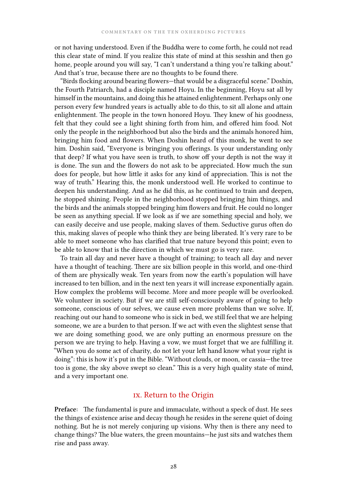or not having understood. Even if the Buddha were to come forth, he could not read this clear state of mind. If you realize this state of mind at this sesshin and then go home, people around you will say, "I can't understand a thing you're talking about." And that's true, because there are no thoughts to be found there.

"Birds flocking around bearing flowers—that would be a disgraceful scene." Doshin, the Fourth Patriarch, had a disciple named Hoyu. In the beginning, Hoyu sat all by himself in the mountains, and doing this he attained enlightenment. Perhaps only one person every few hundred years is actually able to do this, to sit all alone and attain enlightenment. The people in the town honored Hoyu. They knew of his goodness, felt that they could see a light shining forth from him, and offered him food. Not only the people in the neighborhood but also the birds and the animals honored him, bringing him food and flowers. When Doshin heard of this monk, he went to see him. Doshin said, "Everyone is bringing you offerings. Is your understanding only that deep? If what you have seen is truth, to show off your depth is not the way it is done. The sun and the flowers do not ask to be appreciated. How much the sun does for people, but how little it asks for any kind of appreciation. This is not the way of truth." Hearing this, the monk understood well. He worked to continue to deepen his understanding. And as he did this, as he continued to train and deepen, he stopped shining. People in the neighborhood stopped bringing him things, and the birds and the animals stopped bringing him flowers and fruit. He could no longer be seen as anything special. If we look as if we are something special and holy, we can easily deceive and use people, making slaves of them. Seductive gurus often do this, making slaves of people who think they are being liberated. It's very rare to be able to meet someone who has clarified that true nature beyond this point; even to be able to know that is the direction in which we must go is very rare.

To train all day and never have a thought of training; to teach all day and never have a thought of teaching. There are six billion people in this world, and one-third of them are physically weak. Ten years from now the earth's population will have increased to ten billion, and in the next ten years it will increase exponentially again. How complex the problems will become. More and more people will be overlooked. We volunteer in society. But if we are still self-consciously aware of going to help someone, conscious of our selves, we cause even more problems than we solve. If, reaching out our hand to someone who is sick in bed, we still feel that we are helping someone, we are a burden to that person. If we act with even the slightest sense that we are doing something good, we are only putting an enormous pressure on the person we are trying to help. Having a vow, we must forget that we are fulfilling it. "When you do some act of charity, do not let your left hand know what your right is doing": this is how it's put in the Bible. "Without clouds, or moon, or cassia—the tree too is gone, the sky above swept so clean." This is a very high quality state of mind, and a very important one.

## ix. Return to the Origin

**Preface:** The fundamental is pure and immaculate, without a speck of dust. He sees the things of existence arise and decay though he resides in the serene quiet of doing nothing. But he is not merely conjuring up visions. Why then is there any need to change things? The blue waters, the green mountains—he just sits and watches them rise and pass away.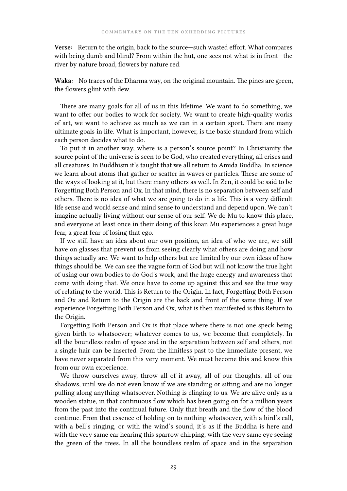**Verse:** Return to the origin, back to the source—such wasted effort. What compares with being dumb and blind? From within the hut, one sees not what is in front—the river by nature broad, flowers by nature red.

**Waka:** No traces of the Dharma way, on the original mountain. The pines are green, the flowers glint with dew.

There are many goals for all of us in this lifetime. We want to do something, we want to offer our bodies to work for society. We want to create high-quality works of art, we want to achieve as much as we can in a certain sport. There are many ultimate goals in life. What is important, however, is the basic standard from which each person decides what to do.

To put it in another way, where is a person's source point? In Christianity the source point of the universe is seen to be God, who created everything, all crises and all creatures. In Buddhism it's taught that we all return to Amida Buddha. In science we learn about atoms that gather or scatter in waves or particles. These are some of the ways of looking at it, but there many others as well. In Zen, it could be said to be Forgetting Both Person and Ox. In that mind, there is no separation between self and others. There is no idea of what we are going to do in a life. This is a very difficult life sense and world sense and mind sense to understand and depend upon. We can't imagine actually living without our sense of our self. We do Mu to know this place, and everyone at least once in their doing of this koan Mu experiences a great huge fear, a great fear of losing that ego.

If we still have an idea about our own position, an idea of who we are, we still have on glasses that prevent us from seeing clearly what others are doing and how things actually are. We want to help others but are limited by our own ideas of how things should be. We can see the vague form of God but will not know the true light of using our own bodies to do God's work, and the huge energy and awareness that come with doing that. We once have to come up against this and see the true way of relating to the world. This is Return to the Origin. In fact, Forgetting Both Person and Ox and Return to the Origin are the back and front of the same thing. If we experience Forgetting Both Person and Ox, what is then manifested is this Return to the Origin.

Forgetting Both Person and Ox is that place where there is not one speck being given birth to whatsoever; whatever comes to us, we become that completely. In all the boundless realm of space and in the separation between self and others, not a single hair can be inserted. From the limitless past to the immediate present, we have never separated from this very moment. We must become this and know this from our own experience.

We throw ourselves away, throw all of it away, all of our thoughts, all of our shadows, until we do not even know if we are standing or sitting and are no longer pulling along anything whatsoever. Nothing is clinging to us. We are alive only as a wooden statue, in that continuous flow which has been going on for a million years from the past into the continual future. Only that breath and the flow of the blood continue. From that essence of holding on to nothing whatsoever, with a bird's call, with a bell's ringing, or with the wind's sound, it's as if the Buddha is here and with the very same ear hearing this sparrow chirping, with the very same eye seeing the green of the trees. In all the boundless realm of space and in the separation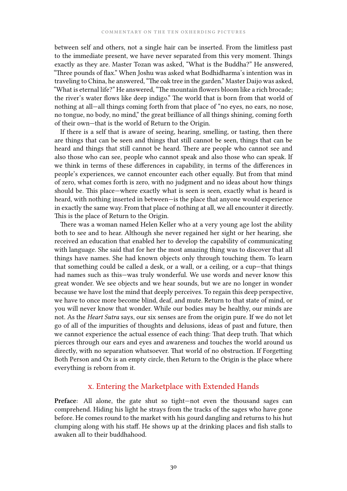between self and others, not a single hair can be inserted. From the limitless past to the immediate present, we have never separated from this very moment. Things exactly as they are. Master Tozan was asked, "What is the Buddha?" He answered, "Three pounds of flax." When Joshu was asked what Bodhidharma's intention was in traveling to China, he answered, "The oak tree in the garden." Master Daijo was asked, "What is eternal life?" He answered, "The mountain flowers bloom like a rich brocade; the river's water flows like deep indigo." The world that is born from that world of nothing at all—all things coming forth from that place of "no eyes, no ears, no nose, no tongue, no body, no mind," the great brilliance of all things shining, coming forth of their own—that is the world of Return to the Origin.

If there is a self that is aware of seeing, hearing, smelling, or tasting, then there are things that can be seen and things that still cannot be seen, things that can be heard and things that still cannot be heard. There are people who cannot see and also those who can see, people who cannot speak and also those who can speak. If we think in terms of these differences in capability, in terms of the differences in people's experiences, we cannot encounter each other equally. But from that mind of zero, what comes forth is zero, with no judgment and no ideas about how things should be. This place—where exactly what is seen is seen, exactly what is heard is heard, with nothing inserted in between—is the place that anyone would experience in exactly the same way. From that place of nothing at all, we all encounter it directly. This is the place of Return to the Origin.

There was a woman named Helen Keller who at a very young age lost the ability both to see and to hear. Although she never regained her sight or her hearing, she received an education that enabled her to develop the capability of communicating with language. She said that for her the most amazing thing was to discover that all things have names. She had known objects only through touching them. To learn that something could be called a desk, or a wall, or a ceiling, or a cup—that things had names such as this—was truly wonderful. We use words and never know this great wonder. We see objects and we hear sounds, but we are no longer in wonder because we have lost the mind that deeply perceives. To regain this deep perspective, we have to once more become blind, deaf, and mute. Return to that state of mind, or you will never know that wonder. While our bodies may be healthy, our minds are not. As the *Heart Sutra* says, our six senses are from the origin pure. If we do not let go of all of the impurities of thoughts and delusions, ideas of past and future, then we cannot experience the actual essence of each thing: That deep truth. That which pierces through our ears and eyes and awareness and touches the world around us directly, with no separation whatsoever. That world of no obstruction. If Forgetting Both Person and Ox is an empty circle, then Return to the Origin is the place where everything is reborn from it.

#### x. Entering the Marketplace with Extended Hands

**Preface:** All alone, the gate shut so tight—not even the thousand sages can comprehend. Hiding his light he strays from the tracks of the sages who have gone before. He comes round to the market with his gourd dangling and returns to his hut clumping along with his staff. He shows up at the drinking places and fish stalls to awaken all to their buddhahood.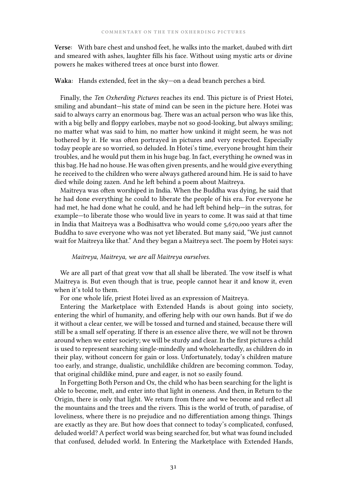**Verse:** With bare chest and unshod feet, he walks into the market, daubed with dirt and smeared with ashes, laughter fills his face. Without using mystic arts or divine powers he makes withered trees at once burst into flower.

#### **Waka:** Hands extended, feet in the sky—on a dead branch perches a bird.

Finally, the *Ten Oxherding Pictures* reaches its end. This picture is of Priest Hotei, smiling and abundant—his state of mind can be seen in the picture here. Hotei was said to always carry an enormous bag. There was an actual person who was like this, with a big belly and floppy earlobes, maybe not so good-looking, but always smiling; no matter what was said to him, no matter how unkind it might seem, he was not bothered by it. He was often portrayed in pictures and very respected. Especially today people are so worried, so deluded. In Hotei's time, everyone brought him their troubles, and he would put them in his huge bag. In fact, everything he owned was in this bag. He had no house. He was often given presents, and he would give everything he received to the children who were always gathered around him. He is said to have died while doing zazen. And he left behind a poem about Maitreya.

Maitreya was often worshiped in India. When the Buddha was dying, he said that he had done everything he could to liberate the people of his era. For everyone he had met, he had done what he could, and he had left behind help—in the sutras, for example—to liberate those who would live in years to come. It was said at that time in India that Maitreya was a Bodhisattva who would come 5,670,000 years after the Buddha to save everyone who was not yet liberated. But many said, "We just cannot wait for Maitreya like that." And they began a Maitreya sect. The poem by Hotei says:

#### *Maitreya, Maitreya, we are all Maitreya ourselves.*

We are all part of that great vow that all shall be liberated. The vow itself is what Maitreya is. But even though that is true, people cannot hear it and know it, even when it's told to them.

For one whole life, priest Hotei lived as an expression of Maitreya.

Entering the Marketplace with Extended Hands is about going into society, entering the whirl of humanity, and offering help with our own hands. But if we do it without a clear center, we will be tossed and turned and stained, because there will still be a small self operating. If there is an essence alive there, we will not be thrown around when we enter society; we will be sturdy and clear. In the first pictures a child is used to represent searching single-mindedly and wholeheartedly, as children do in their play, without concern for gain or loss. Unfortunately, today's children mature too early, and strange, dualistic, unchildlike children are becoming common. Today, that original childlike mind, pure and eager, is not so easily found.

In Forgetting Both Person and Ox, the child who has been searching for the light is able to become, melt, and enter into that light in oneness. And then, in Return to the Origin, there is only that light. We return from there and we become and reflect all the mountains and the trees and the rivers. This is the world of truth, of paradise, of loveliness, where there is no prejudice and no differentiation among things. Things are exactly as they are. But how does that connect to today's complicated, confused, deluded world? A perfect world was being searched for, but what was found included that confused, deluded world. In Entering the Marketplace with Extended Hands,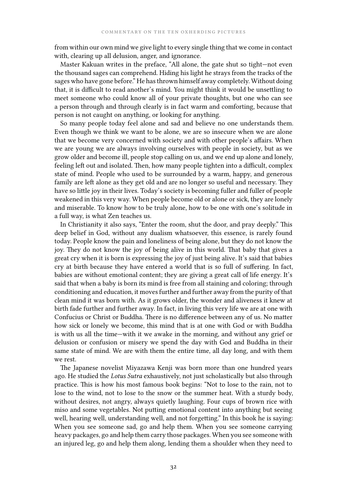from within our own mind we give light to every single thing that we come in contact with, clearing up all delusion, anger, and ignorance.

Master Kakuan writes in the preface, "All alone, the gate shut so tight—not even the thousand sages can comprehend. Hiding his light he strays from the tracks of the sages who have gone before." He has thrown himself away completely. Without doing that, it is difficult to read another's mind. You might think it would be unsettling to meet someone who could know all of your private thoughts, but one who can see a person through and through clearly is in fact warm and comforting, because that person is not caught on anything, or looking for anything.

So many people today feel alone and sad and believe no one understands them. Even though we think we want to be alone, we are so insecure when we are alone that we become very concerned with society and with other people's affairs. When we are young we are always involving ourselves with people in society, but as we grow older and become ill, people stop calling on us, and we end up alone and lonely, feeling left out and isolated. Then, how many people tighten into a difficult, complex state of mind. People who used to be surrounded by a warm, happy, and generous family are left alone as they get old and are no longer so useful and necessary. They have so little joy in their lives. Today's society is becoming fuller and fuller of people weakened in this very way. When people become old or alone or sick, they are lonely and miserable. To know how to be truly alone, how to be one with one's solitude in a full way, is what Zen teaches us.

In Christianity it also says, "Enter the room, shut the door, and pray deeply." This deep belief in God, without any dualism whatsoever, this essence, is rarely found today. People know the pain and loneliness of being alone, but they do not know the joy. They do not know the joy of being alive in this world. That baby that gives a great cry when it is born is expressing the joy of just being alive. It's said that babies cry at birth because they have entered a world that is so full of suffering. In fact, babies are without emotional content; they are giving a great call of life energy. It's said that when a baby is born its mind is free from all staining and coloring; through conditioning and education, it moves further and further away from the purity of that clean mind it was born with. As it grows older, the wonder and aliveness it knew at birth fade further and further away. In fact, in living this very life we are at one with Confucius or Christ or Buddha. There is no difference between any of us. No matter how sick or lonely we become, this mind that is at one with God or with Buddha is with us all the time—with it we awake in the morning, and without any grief or delusion or confusion or misery we spend the day with God and Buddha in their same state of mind. We are with them the entire time, all day long, and with them we rest.

The Japanese novelist Miyazawa Kenji was born more than one hundred years ago. He studied the *Lotus Sutra* exhaustively, not just scholastically but also through practice. This is how his most famous book begins: "Not to lose to the rain, not to lose to the wind, not to lose to the snow or the summer heat. With a sturdy body, without desires, not angry, always quietly laughing. Four cups of brown rice with miso and some vegetables. Not putting emotional content into anything but seeing well, hearing well, understanding well, and not forgetting." In this book he is saying: When you see someone sad, go and help them. When you see someone carrying heavy packages, go and help them carry those packages. When you see someone with an injured leg, go and help them along, lending them a shoulder when they need to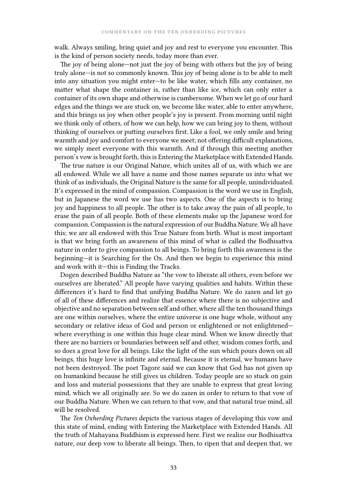walk. Always smiling, bring quiet and joy and rest to everyone you encounter. This is the kind of person society needs, today more than ever.

The joy of being alone—not just the joy of being with others but the joy of being truly alone—is not so commonly known. This joy of being alone is to be able to melt into any situation you might enter—to be like water, which fills any container, no matter what shape the container is, rather than like ice, which can only enter a container of its own shape and otherwise is cumbersome. When we let go of our hard edges and the things we are stuck on, we become like water, able to enter anywhere, and this brings us joy when other people's joy is present. From morning until night we think only of others, of how we can help, how we can bring joy to them, without thinking of ourselves or putting ourselves first. Like a fool, we only smile and bring warmth and joy and comfort to everyone we meet; not offering difficult explanations, we simply meet everyone with this warmth. And if through this meeting another person's vow is brought forth, this is Entering the Marketplace with Extended Hands.

The true nature is our Original Nature, which unites all of us, with which we are all endowed. While we all have a name and those names separate us into what we think of as individuals, the Original Nature is the same for all people, unindividuated. It's expressed in the mind of compassion. Compassion is the word we use in English, but in Japanese the word we use has two aspects. One of the aspects is to bring joy and happiness to all people. The other is to take away the pain of all people, to erase the pain of all people. Both of these elements make up the Japanese word for compassion. Compassion is the natural expression of our Buddha Nature. We all have this; we are all endowed with this True Nature from birth. What is most important is that we bring forth an awareness of this mind of what is called the Bodhisattva nature in order to give compassion to all beings. To bring forth this awareness is the beginning—it is Searching for the Ox. And then we begin to experience this mind and work with it—this is Finding the Tracks.

Dogen described Buddha Nature as "the vow to liberate all others, even before we ourselves are liberated." All people have varying qualities and habits. Within these differences it's hard to find that unifying Buddha Nature. We do zazen and let go of all of these differences and realize that essence where there is no subjective and objective and no separation between self and other, where all the ten thousand things are one within ourselves, where the entire universe is one huge whole, without any secondary or relative ideas of God and person or enlightened or not enlightenedwhere everything is one within this huge clear mind. When we know directly that there are no barriers or boundaries between self and other, wisdom comes forth, and so does a great love for all beings. Like the light of the sun which pours down on all beings, this huge love is infinite and eternal. Because it is eternal, we humans have not been destroyed. The poet Tagore said we can know that God has not given up on humankind because he still gives us children. Today people are so stuck on gain and loss and material possessions that they are unable to express that great loving mind, which we all originally are. So we do zazen in order to return to that vow of our Buddha Nature. When we can return to that vow, and that natural true mind, all will be resolved.

The *Ten Oxherding Pictures* depicts the various stages of developing this vow and this state of mind, ending with Entering the Marketplace with Extended Hands. All the truth of Mahayana Buddhism is expressed here. First we realize our Bodhisattva nature, our deep vow to liberate all beings. Then, to ripen that and deepen that, we